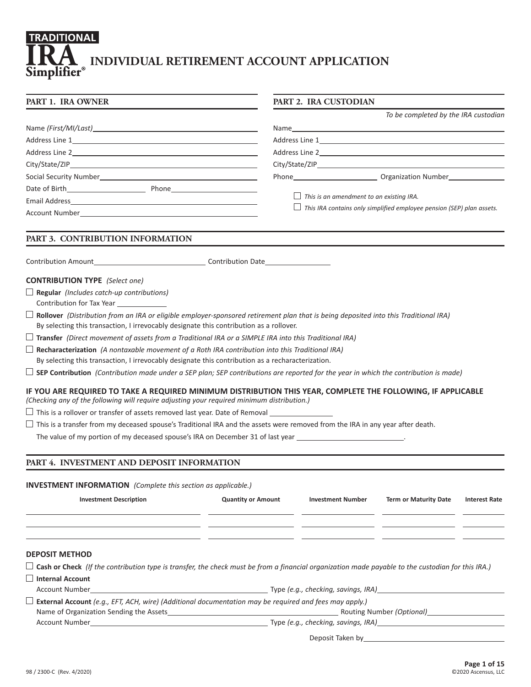# TRADITIONAL **RA INDIVIDUAL RETIREMENT ACCOUNT APPLICATION** Simplifier®

| PART 1. IRA OWNER                                                                                                                                                                                                                      |                           | <b>PART 2. IRA CUSTODIAN</b>                    |                                                                       |                      |  |  |  |  |
|----------------------------------------------------------------------------------------------------------------------------------------------------------------------------------------------------------------------------------------|---------------------------|-------------------------------------------------|-----------------------------------------------------------------------|----------------------|--|--|--|--|
|                                                                                                                                                                                                                                        |                           |                                                 | To be completed by the IRA custodian                                  |                      |  |  |  |  |
|                                                                                                                                                                                                                                        |                           |                                                 |                                                                       |                      |  |  |  |  |
|                                                                                                                                                                                                                                        |                           |                                                 |                                                                       |                      |  |  |  |  |
|                                                                                                                                                                                                                                        |                           |                                                 |                                                                       |                      |  |  |  |  |
|                                                                                                                                                                                                                                        |                           |                                                 |                                                                       |                      |  |  |  |  |
|                                                                                                                                                                                                                                        |                           |                                                 |                                                                       |                      |  |  |  |  |
|                                                                                                                                                                                                                                        |                           |                                                 |                                                                       |                      |  |  |  |  |
|                                                                                                                                                                                                                                        |                           | $\Box$ This is an amendment to an existing IRA. |                                                                       |                      |  |  |  |  |
| Account Number and the contract of the contract of the contract of the contract of the contract of the contract of the contract of the contract of the contract of the contract of the contract of the contract of the contrac         |                           |                                                 | This IRA contains only simplified employee pension (SEP) plan assets. |                      |  |  |  |  |
| PART 3. CONTRIBUTION INFORMATION                                                                                                                                                                                                       |                           |                                                 |                                                                       |                      |  |  |  |  |
|                                                                                                                                                                                                                                        |                           |                                                 |                                                                       |                      |  |  |  |  |
| <b>CONTRIBUTION TYPE</b> (Select one)                                                                                                                                                                                                  |                           |                                                 |                                                                       |                      |  |  |  |  |
| $\Box$ Regular (Includes catch-up contributions)<br>Contribution for Tax Year                                                                                                                                                          |                           |                                                 |                                                                       |                      |  |  |  |  |
| $\Box$ Rollover (Distribution from an IRA or eligible employer-sponsored retirement plan that is being deposited into this Traditional IRA)<br>By selecting this transaction, I irrevocably designate this contribution as a rollover. |                           |                                                 |                                                                       |                      |  |  |  |  |
| $\Box$ Transfer (Direct movement of assets from a Traditional IRA or a SIMPLE IRA into this Traditional IRA)                                                                                                                           |                           |                                                 |                                                                       |                      |  |  |  |  |
| $\Box$ Recharacterization (A nontaxable movement of a Roth IRA contribution into this Traditional IRA)                                                                                                                                 |                           |                                                 |                                                                       |                      |  |  |  |  |
| By selecting this transaction, I irrevocably designate this contribution as a recharacterization.                                                                                                                                      |                           |                                                 |                                                                       |                      |  |  |  |  |
| $\Box$ SEP Contribution (Contribution made under a SEP plan; SEP contributions are reported for the year in which the contribution is made)                                                                                            |                           |                                                 |                                                                       |                      |  |  |  |  |
| IF YOU ARE REQUIRED TO TAKE A REQUIRED MINIMUM DISTRIBUTION THIS YEAR, COMPLETE THE FOLLOWING, IF APPLICABLE<br>(Checking any of the following will require adjusting your required minimum distribution.)                             |                           |                                                 |                                                                       |                      |  |  |  |  |
| $\square$ This is a rollover or transfer of assets removed last year. Date of Removal $\_{\_\_$                                                                                                                                        |                           |                                                 |                                                                       |                      |  |  |  |  |
| $\Box$ This is a transfer from my deceased spouse's Traditional IRA and the assets were removed from the IRA in any year after death.                                                                                                  |                           |                                                 |                                                                       |                      |  |  |  |  |
| The value of my portion of my deceased spouse's IRA on December 31 of last year ______________________________                                                                                                                         |                           |                                                 |                                                                       |                      |  |  |  |  |
| PART 4. INVESTMENT AND DEPOSIT INFORMATION                                                                                                                                                                                             |                           |                                                 |                                                                       |                      |  |  |  |  |
| <b>INVESTMENT INFORMATION</b> (Complete this section as applicable.)                                                                                                                                                                   |                           |                                                 |                                                                       |                      |  |  |  |  |
| <b>Investment Description</b>                                                                                                                                                                                                          | <b>Quantity or Amount</b> | <b>Investment Number</b>                        | <b>Term or Maturity Date</b>                                          | <b>Interest Rate</b> |  |  |  |  |
|                                                                                                                                                                                                                                        |                           |                                                 |                                                                       |                      |  |  |  |  |
|                                                                                                                                                                                                                                        |                           |                                                 |                                                                       |                      |  |  |  |  |
| <b>DEPOSIT METHOD</b>                                                                                                                                                                                                                  |                           |                                                 |                                                                       |                      |  |  |  |  |
| $\Box$ Cash or Check (If the contribution type is transfer, the check must be from a financial organization made payable to the custodian for this IRA.)                                                                               |                           |                                                 |                                                                       |                      |  |  |  |  |
| $\Box$ Internal Account                                                                                                                                                                                                                |                           |                                                 |                                                                       |                      |  |  |  |  |
| Account Number                                                                                                                                                                                                                         |                           |                                                 |                                                                       |                      |  |  |  |  |
| External Account (e.g., EFT, ACH, wire) (Additional documentation may be required and fees may apply.)                                                                                                                                 |                           |                                                 |                                                                       |                      |  |  |  |  |
|                                                                                                                                                                                                                                        |                           |                                                 |                                                                       |                      |  |  |  |  |
|                                                                                                                                                                                                                                        |                           |                                                 |                                                                       |                      |  |  |  |  |
|                                                                                                                                                                                                                                        |                           |                                                 |                                                                       |                      |  |  |  |  |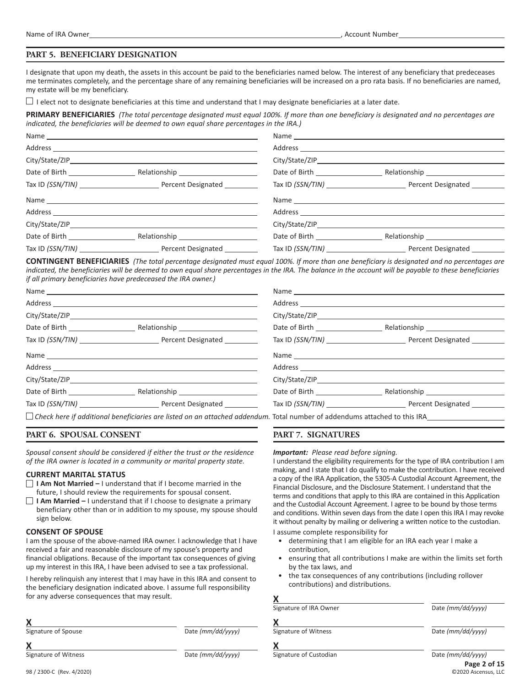#### **PART 5. BENEFICIARY DESIGNATION**

I designate that upon my death, the assets in this account be paid to the beneficiaries named below. The interest of any beneficiary that predeceases me terminates completely, and the percentage share of any remaining beneficiaries will be increased on a pro rata basis. If no beneficiaries are named, my estate will be my beneficiary.

 $\Box$  I elect not to designate beneficiaries at this time and understand that I may designate beneficiaries at a later date.

**PRIMARY BENEFICIARIES** *(The total percentage designated must equal 100%. If more than one beneficiary is designated and no percentages are indicated, the beneficiaries will be deemed to own equal share percentages in the IRA.)*

|                                     |                                    | City/State/ZIP                        |
|-------------------------------------|------------------------------------|---------------------------------------|
|                                     | Date of Birth ___________________  | Relationship ________________________ |
|                                     |                                    | Tax ID (SSN/TIN) Percent Designated   |
|                                     |                                    |                                       |
|                                     |                                    |                                       |
|                                     |                                    |                                       |
|                                     | Date of Birth <b>Exercise 2018</b> |                                       |
| Tax ID (SSN/TIN) Percent Designated |                                    |                                       |

**CONTINGENT BENEFICIARIES** *(The total percentage designated must equal 100%. If more than one beneficiary is designated and no percentages are indicated, the beneficiaries will be deemed to own equal share percentages in the IRA. The balance in the account will be payable to these beneficiaries if all primary beneficiaries have predeceased the IRA owner.)*

| FT 2008 CONTROLLER DES CHARGES AND DES CONTROLLER DES CHARGES AND DES CHARGES AND DESCRIPTION OF A CHARGES AND |  |
|----------------------------------------------------------------------------------------------------------------|--|

*Check here if additional beneficiaries are listed on an attached addendum.* Total number of addendums attached to this IRA

#### **PART 6. SPOUSAL CONSENT**

*Spousal consent should be considered if either the trust or the residence of the IRA owner is located in a community or marital property state.*

#### **CURRENT MARITAL STATUS**

- **I Am Not Married –** I understand that if I become married in the future, I should review the requirements for spousal consent.
- **I Am Married –** I understand that if I choose to designate a primary beneficiary other than or in addition to my spouse, my spouse should sign below.

#### **CONSENT OF SPOUSE**

I am the spouse of the above-named IRA owner. I acknowledge that I have received a fair and reasonable disclosure of my spouse's property and financial obligations. Because of the important tax consequences of giving up my interest in this IRA, I have been advised to see a tax professional.

I hereby relinquish any interest that I may have in this IRA and consent to the beneficiary designation indicated above. I assume full responsibility for any adverse consequences that may result.

| Χ                   |        |
|---------------------|--------|
| Signature of Spouse | Date / |

Signature of Spouse Date *(mm/dd/yyyy)*

| v<br>л               |                   |
|----------------------|-------------------|
| Signature of Witness | Date (mm/dd/yyyy) |

#### **PART 7. SIGNATURES**

#### *Important: Please read before signing.*

I understand the eligibility requirements for the type of IRA contribution I am making, and I state that I do qualify to make the contribution. I have received a copy of the IRA Application, the 5305-A Custodial Account Agreement, the Financial Disclosure, and the Disclosure Statement. I understand that the terms and conditions that apply to this IRA are contained in this Application and the Custodial Account Agreement. I agree to be bound by those terms and conditions. Within seven days from the date I open this IRA I may revoke it without penalty by mailing or delivering a written notice to the custodian.

I assume complete responsibility for

- determining that I am eligible for an IRA each year I make a contribution,
- ensuring that all contributions I make are within the limits set forth by the tax laws, and
- the tax consequences of any contributions (including rollover contributions) and distributions.

# **X**<br>Signature of IRA Owner Date *(mm/dd/yyyy)* **X** Signature of Witness **Date** *(mm/dd/yyyy)*

**Signature of Custodian** 

Date *(mm/dd/yyyy)* 

**Page 2 of 15** ©2020 Ascensus, LLC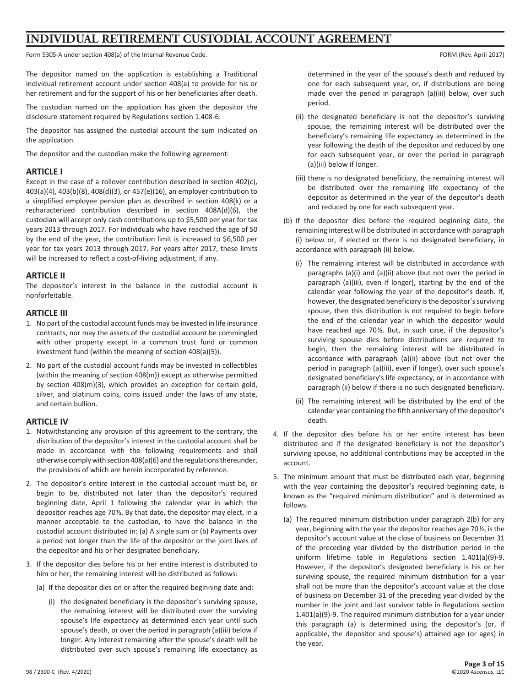# **INDIVIDUAL RETIREMENT CUSTODIAL ACCOUNT AGREEMENT**

Form 5305-A under section 408(a) of the Internal Revenue Code. The Internal Revenue Code. Form (Rev. April 2017)

The depositor named on the application is establishing a Traditional individual retirement account under section 408(a) to provide for his or her retirement and for the support of his or her beneficiaries after death.

The custodian named on the application has given the depositor the disclosure statement required by Regulations section 1.408-6.

The depositor has assigned the custodial account the sum indicated on the application.

The depositor and the custodian make the following agreement:

#### **ARTICLE I**

Except in the case of a rollover contribution described in section 402(c), 403(a)(4), 403(b)(8), 408(d)(3), or 457(e)(16), an employer contribution to a simplified employee pension plan as described in section 408(k) or a recharacterized contribution described in section 408A(d)(6), the custodian will accept only cash contributions up to \$5,500 per year for tax years 2013 through 2017. For individuals who have reached the age of 50 by the end of the year, the contribution limit is increased to \$6,500 per year for tax years 2013 through 2017. For years after 2017, these limits will be increased to reflect a cost-of-living adjustment, if any.

### **ARTICLE II**

The depositor's interest in the balance in the custodial account is nonforfeitable.

#### **ARTICLE III**

- 1. No part of the custodial account funds may be invested in life insurance contracts, nor may the assets of the custodial account be commingled with other property except in a common trust fund or common investment fund (within the meaning of section 408(a)(5)).
- 2. No part of the custodial account funds may be invested in collectibles (within the meaning of section 408(m)) except as otherwise permitted by section 408(m)(3), which provides an exception for certain gold, silver, and platinum coins, coins issued under the laws of any state, and certain bullion.

### **ARTICLE IV**

- 1. Notwithstanding any provision of this agreement to the contrary, the distribution of the depositor's interest in the custodial account shall be made in accordance with the following requirements and shall otherwise comply with section 408(a)(6) and the regulations thereunder, the provisions of which are herein incorporated by reference.
- 2. The depositor's entire interest in the custodial account must be, or begin to be, distributed not later than the depositor's required beginning date, April 1 following the calendar year in which the depositor reaches age 70½. By that date, the depositor may elect, in a manner acceptable to the custodian, to have the balance in the custodial account distributed in: (a) A single sum or (b) Payments over a period not longer than the life of the depositor or the joint lives of the depositor and his or her designated beneficiary.
- 3. If the depositor dies before his or her entire interest is distributed to him or her, the remaining interest will be distributed as follows:
	- (a) If the depositor dies on or after the required beginning date and:
		- (i) the designated beneficiary is the depositor's surviving spouse, the remaining interest will be distributed over the surviving spouse's life expectancy as determined each year until such spouse's death, or over the period in paragraph (a)(iii) below if longer. Any interest remaining after the spouse's death will be distributed over such spouse's remaining life expectancy as

determined in the year of the spouse's death and reduced by one for each subsequent year, or, if distributions are being made over the period in paragraph (a)(iii) below, over such period.

- (ii) the designated beneficiary is not the depositor's surviving spouse, the remaining interest will be distributed over the beneficiary's remaining life expectancy as determined in the year following the death of the depositor and reduced by one for each subsequent year, or over the period in paragraph (a)(iii) below if longer.
- (iii) there is no designated beneficiary, the remaining interest will be distributed over the remaining life expectancy of the depositor as determined in the year of the depositor's death and reduced by one for each subsequent year.
- (b) If the depositor dies before the required beginning date, the remaining interest will be distributed in accordance with paragraph (i) below or, if elected or there is no designated beneficiary, in accordance with paragraph (ii) below.
	- (i) The remaining interest will be distributed in accordance with paragraphs (a)(i) and (a)(ii) above (but not over the period in paragraph (a)(iii), even if longer), starting by the end of the calendar year following the year of the depositor's death. If, however, the designated beneficiary is the depositor's surviving spouse, then this distribution is not required to begin before the end of the calendar year in which the depositor would have reached age 70½. But, in such case, if the depositor's surviving spouse dies before distributions are required to begin, then the remaining interest will be distributed in accordance with paragraph (a)(ii) above (but not over the period in paragraph (a)(iii), even if longer), over such spouse's designated beneficiary's life expectancy, or in accordance with paragraph (ii) below if there is no such designated beneficiary.
	- (ii) The remaining interest will be distributed by the end of the calendar year containing the fifth anniversary of the depositor's death.
- 4. If the depositor dies before his or her entire interest has been distributed and if the designated beneficiary is not the depositor's surviving spouse, no additional contributions may be accepted in the account.
- 5. The minimum amount that must be distributed each year, beginning with the year containing the depositor's required beginning date, is known as the "required minimum distribution" and is determined as follows.
	- (a) The required minimum distribution under paragraph 2(b) for any year, beginning with the year the depositor reaches age 70½, is the depositor's account value at the close of business on December 31 of the preceding year divided by the distribution period in the uniform lifetime table in Regulations section 1.401(a)(9)-9. However, if the depositor's designated beneficiary is his or her surviving spouse, the required minimum distribution for a year shall not be more than the depositor's account value at the close of business on December 31 of the preceding year divided by the number in the joint and last survivor table in Regulations section 1.401(a)(9)-9. The required minimum distribution for a year under this paragraph (a) is determined using the depositor's (or, if applicable, the depositor and spouse's) attained age (or ages) in the year.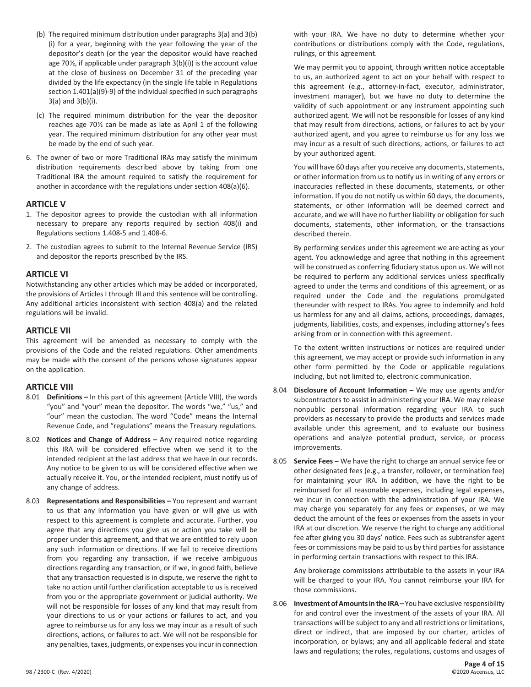- (b) The required minimum distribution under paragraphs 3(a) and 3(b) (i) for a year, beginning with the year following the year of the depositor's death (or the year the depositor would have reached age 70 $\frac{1}{2}$ , if applicable under paragraph  $3(b)(i)$ ) is the account value at the close of business on December 31 of the preceding year divided by the life expectancy (in the single life table in Regulations section 1.401(a)(9)-9) of the individual specified in such paragraphs 3(a) and 3(b)(i).
- (c) The required minimum distribution for the year the depositor reaches age 70½ can be made as late as April 1 of the following year. The required minimum distribution for any other year must be made by the end of such year.
- 6. The owner of two or more Traditional IRAs may satisfy the minimum distribution requirements described above by taking from one Traditional IRA the amount required to satisfy the requirement for another in accordance with the regulations under section 408(a)(6).

### **ARTICLE V**

- 1. The depositor agrees to provide the custodian with all information necessary to prepare any reports required by section 408(i) and Regulations sections 1.408-5 and 1.408-6.
- 2. The custodian agrees to submit to the Internal Revenue Service (IRS) and depositor the reports prescribed by the IRS.

### **ARTICLE VI**

Notwithstanding any other articles which may be added or incorporated, the provisions of Articles I through III and this sentence will be controlling. Any additional articles inconsistent with section 408(a) and the related regulations will be invalid.

#### **ARTICLE VII**

This agreement will be amended as necessary to comply with the provisions of the Code and the related regulations. Other amendments may be made with the consent of the persons whose signatures appear on the application.

#### **ARTICLE VIII**

- 8.01 **Definitions –** In this part of this agreement (Article VIII), the words "you" and "your" mean the depositor. The words "we," "us," and "our" mean the custodian. The word "Code" means the Internal Revenue Code, and "regulations" means the Treasury regulations.
- 8.02 **Notices and Change of Address –** Any required notice regarding this IRA will be considered effective when we send it to the intended recipient at the last address that we have in our records. Any notice to be given to us will be considered effective when we actually receive it. You, or the intended recipient, must notify us of any change of address.
- 8.03 **Representations and Responsibilities –** You represent and warrant to us that any information you have given or will give us with respect to this agreement is complete and accurate. Further, you agree that any directions you give us or action you take will be proper under this agreement, and that we are entitled to rely upon any such information or directions. If we fail to receive directions from you regarding any transaction, if we receive ambiguous directions regarding any transaction, or if we, in good faith, believe that any transaction requested is in dispute, we reserve the right to take no action until further clarification acceptable to us is received from you or the appropriate government or judicial authority. We will not be responsible for losses of any kind that may result from your directions to us or your actions or failures to act, and you agree to reimburse us for any loss we may incur as a result of such directions, actions, or failures to act. We will not be responsible for any penalties, taxes, judgments, or expenses you incur in connection

with your IRA. We have no duty to determine whether your contributions or distributions comply with the Code, regulations, rulings, or this agreement.

 We may permit you to appoint, through written notice acceptable to us, an authorized agent to act on your behalf with respect to this agreement (e.g., attorney-in-fact, executor, administrator, investment manager), but we have no duty to determine the validity of such appointment or any instrument appointing such authorized agent. We will not be responsible for losses of any kind that may result from directions, actions, or failures to act by your authorized agent, and you agree to reimburse us for any loss we may incur as a result of such directions, actions, or failures to act by your authorized agent.

 You will have 60 days after you receive any documents, statements, or other information from us to notify us in writing of any errors or inaccuracies reflected in these documents, statements, or other information. If you do not notify us within 60 days, the documents, statements, or other information will be deemed correct and accurate, and we will have no further liability or obligation for such documents, statements, other information, or the transactions described therein.

 By performing services under this agreement we are acting as your agent. You acknowledge and agree that nothing in this agreement will be construed as conferring fiduciary status upon us. We will not be required to perform any additional services unless specifically agreed to under the terms and conditions of this agreement, or as required under the Code and the regulations promulgated thereunder with respect to IRAs. You agree to indemnify and hold us harmless for any and all claims, actions, proceedings, damages, judgments, liabilities, costs, and expenses, including attorney's fees arising from or in connection with this agreement.

 To the extent written instructions or notices are required under this agreement, we may accept or provide such information in any other form permitted by the Code or applicable regulations including, but not limited to, electronic communication.

- 8.04 **Disclosure of Account Information –** We may use agents and/or subcontractors to assist in administering your IRA. We may release nonpublic personal information regarding your IRA to such providers as necessary to provide the products and services made available under this agreement, and to evaluate our business operations and analyze potential product, service, or process improvements.
- 8.05 **Service Fees –** We have the right to charge an annual service fee or other designated fees (e.g., a transfer, rollover, or termination fee) for maintaining your IRA. In addition, we have the right to be reimbursed for all reasonable expenses, including legal expenses, we incur in connection with the administration of your IRA. We may charge you separately for any fees or expenses, or we may deduct the amount of the fees or expenses from the assets in your IRA at our discretion. We reserve the right to charge any additional fee after giving you 30 days' notice. Fees such as subtransfer agent fees or commissions may be paid to us by third parties for assistance in performing certain transactions with respect to this IRA.

 Any brokerage commissions attributable to the assets in your IRA will be charged to your IRA. You cannot reimburse your IRA for those commissions.

8.06 **Investment of Amounts in the IRA –** You have exclusive responsibility for and control over the investment of the assets of your IRA. All transactions will be subject to any and all restrictions or limitations, direct or indirect, that are imposed by our charter, articles of incorporation, or bylaws; any and all applicable federal and state laws and regulations; the rules, regulations, customs and usages of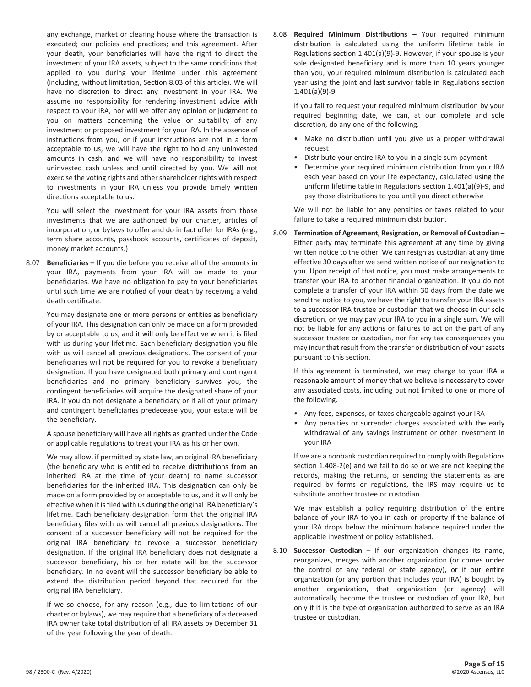any exchange, market or clearing house where the transaction is executed; our policies and practices; and this agreement. After your death, your beneficiaries will have the right to direct the investment of your IRA assets, subject to the same conditions that applied to you during your lifetime under this agreement (including, without limitation, Section 8.03 of this article). We will have no discretion to direct any investment in your IRA. We assume no responsibility for rendering investment advice with respect to your IRA, nor will we offer any opinion or judgment to you on matters concerning the value or suitability of any investment or proposed investment for your IRA. In the absence of instructions from you, or if your instructions are not in a form acceptable to us, we will have the right to hold any uninvested amounts in cash, and we will have no responsibility to invest uninvested cash unless and until directed by you. We will not exercise the voting rights and other shareholder rights with respect to investments in your IRA unless you provide timely written directions acceptable to us.

 You will select the investment for your IRA assets from those investments that we are authorized by our charter, articles of incorporation, or bylaws to offer and do in fact offer for IRAs (e.g., term share accounts, passbook accounts, certificates of deposit, money market accounts.)

8.07 **Beneficiaries –** If you die before you receive all of the amounts in your IRA, payments from your IRA will be made to your beneficiaries. We have no obligation to pay to your beneficiaries until such time we are notified of your death by receiving a valid death certificate.

 You may designate one or more persons or entities as beneficiary of your IRA. This designation can only be made on a form provided by or acceptable to us, and it will only be effective when it is filed with us during your lifetime. Each beneficiary designation you file with us will cancel all previous designations. The consent of your beneficiaries will not be required for you to revoke a beneficiary designation. If you have designated both primary and contingent beneficiaries and no primary beneficiary survives you, the contingent beneficiaries will acquire the designated share of your IRA. If you do not designate a beneficiary or if all of your primary and contingent beneficiaries predecease you, your estate will be the beneficiary.

 A spouse beneficiary will have all rights as granted under the Code or applicable regulations to treat your IRA as his or her own.

 We may allow, if permitted by state law, an original IRA beneficiary (the beneficiary who is entitled to receive distributions from an inherited IRA at the time of your death) to name successor beneficiaries for the inherited IRA. This designation can only be made on a form provided by or acceptable to us, and it will only be effective when it is filed with us during the original IRA beneficiary's lifetime. Each beneficiary designation form that the original IRA beneficiary files with us will cancel all previous designations. The consent of a successor beneficiary will not be required for the original IRA beneficiary to revoke a successor beneficiary designation. If the original IRA beneficiary does not designate a successor beneficiary, his or her estate will be the successor beneficiary. In no event will the successor beneficiary be able to extend the distribution period beyond that required for the original IRA beneficiary.

 If we so choose, for any reason (e.g., due to limitations of our charter or bylaws), we may require that a beneficiary of a deceased IRA owner take total distribution of all IRA assets by December 31 of the year following the year of death.

8.08 **Required Minimum Distributions –** Your required minimum distribution is calculated using the uniform lifetime table in Regulations section 1.401(a)(9)-9. However, if your spouse is your sole designated beneficiary and is more than 10 years younger than you, your required minimum distribution is calculated each year using the joint and last survivor table in Regulations section 1.401(a)(9)-9.

 If you fail to request your required minimum distribution by your required beginning date, we can, at our complete and sole discretion, do any one of the following.

- Make no distribution until you give us a proper withdrawal request
- Distribute your entire IRA to you in a single sum payment
- Determine your required minimum distribution from your IRA each year based on your life expectancy, calculated using the uniform lifetime table in Regulations section 1.401(a)(9)-9, and pay those distributions to you until you direct otherwise

 We will not be liable for any penalties or taxes related to your failure to take a required minimum distribution.

8.09 **Termination of Agreement, Resignation, or Removal of Custodian –** Either party may terminate this agreement at any time by giving written notice to the other. We can resign as custodian at any time effective 30 days after we send written notice of our resignation to you. Upon receipt of that notice, you must make arrangements to transfer your IRA to another financial organization. If you do not complete a transfer of your IRA within 30 days from the date we send the notice to you, we have the right to transfer your IRA assets to a successor IRA trustee or custodian that we choose in our sole discretion, or we may pay your IRA to you in a single sum. We will not be liable for any actions or failures to act on the part of any successor trustee or custodian, nor for any tax consequences you may incur that result from the transfer or distribution of your assets pursuant to this section.

 If this agreement is terminated, we may charge to your IRA a reasonable amount of money that we believe is necessary to cover any associated costs, including but not limited to one or more of the following.

- Any fees, expenses, or taxes chargeable against your IRA
- Any penalties or surrender charges associated with the early withdrawal of any savings instrument or other investment in your IRA

 If we are a nonbank custodian required to comply with Regulations section 1.408-2(e) and we fail to do so or we are not keeping the records, making the returns, or sending the statements as are required by forms or regulations, the IRS may require us to substitute another trustee or custodian.

 We may establish a policy requiring distribution of the entire balance of your IRA to you in cash or property if the balance of your IRA drops below the minimum balance required under the applicable investment or policy established.

8.10 **Successor Custodian –** If our organization changes its name, reorganizes, merges with another organization (or comes under the control of any federal or state agency), or if our entire organization (or any portion that includes your IRA) is bought by another organization, that organization (or agency) will automatically become the trustee or custodian of your IRA, but only if it is the type of organization authorized to serve as an IRA trustee or custodian.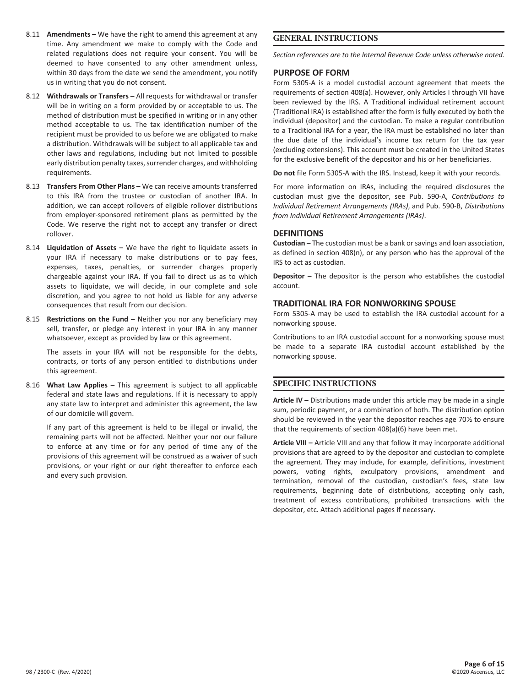98 / 2300-C (Rev. 4/2020)

- 8.11 **Amendments –** We have the right to amend this agreement at any time. Any amendment we make to comply with the Code and related regulations does not require your consent. You will be deemed to have consented to any other amendment unless, within 30 days from the date we send the amendment, you notify us in writing that you do not consent.
- 8.12 **Withdrawals or Transfers –** All requests for withdrawal or transfer will be in writing on a form provided by or acceptable to us. The method of distribution must be specified in writing or in any other method acceptable to us. The tax identification number of the recipient must be provided to us before we are obligated to make a distribution. Withdrawals will be subject to all applicable tax and other laws and regulations, including but not limited to possible early distribution penalty taxes, surrender charges, and withholding requirements.
- 8.13 **Transfers From Other Plans –** We can receive amounts transferred to this IRA from the trustee or custodian of another IRA. In addition, we can accept rollovers of eligible rollover distributions from employer-sponsored retirement plans as permitted by the Code. We reserve the right not to accept any transfer or direct rollover.
- 8.14 **Liquidation of Assets –** We have the right to liquidate assets in your IRA if necessary to make distributions or to pay fees, expenses, taxes, penalties, or surrender charges properly chargeable against your IRA. If you fail to direct us as to which assets to liquidate, we will decide, in our complete and sole discretion, and you agree to not hold us liable for any adverse consequences that result from our decision.
- 8.15 **Restrictions on the Fund –** Neither you nor any beneficiary may sell, transfer, or pledge any interest in your IRA in any manner whatsoever, except as provided by law or this agreement.

 The assets in your IRA will not be responsible for the debts, contracts, or torts of any person entitled to distributions under this agreement.

8.16 **What Law Applies –** This agreement is subject to all applicable federal and state laws and regulations. If it is necessary to apply any state law to interpret and administer this agreement, the law of our domicile will govern.

 If any part of this agreement is held to be illegal or invalid, the remaining parts will not be affected. Neither your nor our failure to enforce at any time or for any period of time any of the provisions of this agreement will be construed as a waiver of such provisions, or your right or our right thereafter to enforce each and every such provision.

# **GENERAL INSTRUCTIONS**

*Section references are to the Internal Revenue Code unless otherwise noted.*

## **PURPOSE OF FORM**

Form 5305-A is a model custodial account agreement that meets the requirements of section 408(a). However, only Articles I through VII have been reviewed by the IRS. A Traditional individual retirement account (Traditional IRA) is established after the form is fully executed by both the individual (depositor) and the custodian. To make a regular contribution to a Traditional IRA for a year, the IRA must be established no later than the due date of the individual's income tax return for the tax year (excluding extensions). This account must be created in the United States for the exclusive benefit of the depositor and his or her beneficiaries.

**Do not** file Form 5305-A with the IRS. Instead, keep it with your records.

For more information on IRAs, including the required disclosures the custodian must give the depositor, see Pub. 590-A, *Contributions to Individual Retirement Arrangements (IRAs)*, and Pub. 590-B, *Distributions from Individual Retirement Arrangements (IRAs)*.

### **DEFINITIONS**

**Custodian –** The custodian must be a bank or savings and loan association, as defined in section 408(n), or any person who has the approval of the IRS to act as custodian.

**Depositor –** The depositor is the person who establishes the custodial account.

# **TRADITIONAL IRA FOR NONWORKING SPOUSE**

Form 5305-A may be used to establish the IRA custodial account for a nonworking spouse.

Contributions to an IRA custodial account for a nonworking spouse must be made to a separate IRA custodial account established by the nonworking spouse.

# **SPECIFIC INSTRUCTIONS**

**Article IV –** Distributions made under this article may be made in a single sum, periodic payment, or a combination of both. The distribution option should be reviewed in the year the depositor reaches age 70½ to ensure that the requirements of section 408(a)(6) have been met.

**Article VIII –** Article VIII and any that follow it may incorporate additional provisions that are agreed to by the depositor and custodian to complete the agreement. They may include, for example, definitions, investment powers, voting rights, exculpatory provisions, amendment and termination, removal of the custodian, custodian's fees, state law requirements, beginning date of distributions, accepting only cash, treatment of excess contributions, prohibited transactions with the depositor, etc. Attach additional pages if necessary.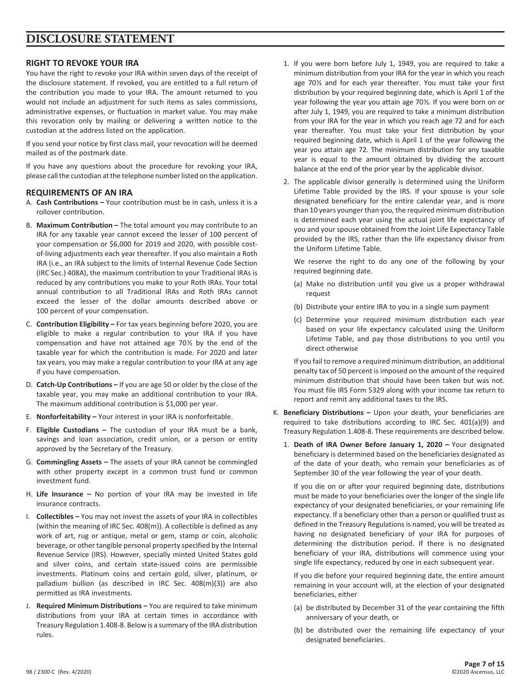# **DISCLOSURE STATEMENT**

# **RIGHT TO REVOKE YOUR IRA**

You have the right to revoke your IRA within seven days of the receipt of the disclosure statement. If revoked, you are entitled to a full return of the contribution you made to your IRA. The amount returned to you would not include an adjustment for such items as sales commissions, administrative expenses, or fluctuation in market value. You may make this revocation only by mailing or delivering a written notice to the custodian at the address listed on the application.

If you send your notice by first class mail, your revocation will be deemed mailed as of the postmark date.

If you have any questions about the procedure for revoking your IRA, please call the custodian at the telephone number listed on the application.

# **REQUIREMENTS OF AN IRA**

- A. **Cash Contributions –** Your contribution must be in cash, unless it is a rollover contribution.
- B. **Maximum Contribution –** The total amount you may contribute to an IRA for any taxable year cannot exceed the lesser of 100 percent of your compensation or \$6,000 for 2019 and 2020, with possible costof-living adjustments each year thereafter. If you also maintain a Roth IRA (i.e., an IRA subject to the limits of Internal Revenue Code Section (IRC Sec.) 408A), the maximum contribution to your Traditional IRAs is reduced by any contributions you make to your Roth IRAs. Your total annual contribution to all Traditional IRAs and Roth IRAs cannot exceed the lesser of the dollar amounts described above or 100 percent of your compensation.
- C. **Contribution Eligibility –** For tax years beginning before 2020, you are eligible to make a regular contribution to your IRA if you have compensation and have not attained age 70½ by the end of the taxable year for which the contribution is made. For 2020 and later tax years, you may make a regular contribution to your IRA at any age if you have compensation.
- D. **Catch-Up Contributions –** If you are age 50 or older by the close of the taxable year, you may make an additional contribution to your IRA. The maximum additional contribution is \$1,000 per year.
- E. **Nonforfeitability –** Your interest in your IRA is nonforfeitable.
- F. **Eligible Custodians –** The custodian of your IRA must be a bank, savings and loan association, credit union, or a person or entity approved by the Secretary of the Treasury.
- G. **Commingling Assets –** The assets of your IRA cannot be commingled with other property except in a common trust fund or common investment fund.
- H. **Life Insurance –** No portion of your IRA may be invested in life insurance contracts.
- I. **Collectibles –** You may not invest the assets of your IRA in collectibles (within the meaning of IRC Sec. 408(m)). A collectible is defined as any work of art, rug or antique, metal or gem, stamp or coin, alcoholic beverage, or other tangible personal property specified by the Internal Revenue Service (IRS). However, specially minted United States gold and silver coins, and certain state-issued coins are permissible investments. Platinum coins and certain gold, silver, platinum, or palladium bullion (as described in IRC Sec. 408(m)(3)) are also permitted as IRA investments.
- J. **Required Minimum Distributions –** You are required to take minimum distributions from your IRA at certain times in accordance with Treasury Regulation 1.408-8. Below is a summary of the IRA distribution rules.
- 1. If you were born before July 1, 1949, you are required to take a minimum distribution from your IRA for the year in which you reach age 70½ and for each year thereafter. You must take your first distribution by your required beginning date, which is April 1 of the year following the year you attain age 70½. If you were born on or after July 1, 1949, you are required to take a minimum distribution from your IRA for the year in which you reach age 72 and for each year thereafter. You must take your first distribution by your required beginning date, which is April 1 of the year following the year you attain age 72. The minimum distribution for any taxable year is equal to the amount obtained by dividing the account balance at the end of the prior year by the applicable divisor.
- 2. The applicable divisor generally is determined using the Uniform Lifetime Table provided by the IRS. If your spouse is your sole designated beneficiary for the entire calendar year, and is more than 10 years younger than you, the required minimum distribution is determined each year using the actual joint life expectancy of you and your spouse obtained from the Joint Life Expectancy Table provided by the IRS, rather than the life expectancy divisor from the Uniform Lifetime Table.

 We reserve the right to do any one of the following by your required beginning date.

- (a) Make no distribution until you give us a proper withdrawal request
- (b) Distribute your entire IRA to you in a single sum payment
- (c) Determine your required minimum distribution each year based on your life expectancy calculated using the Uniform Lifetime Table, and pay those distributions to you until you direct otherwise

 If you fail to remove a required minimum distribution, an additional penalty tax of 50 percent is imposed on the amount of the required minimum distribution that should have been taken but was not. You must file IRS Form 5329 along with your income tax return to report and remit any additional taxes to the IRS.

- K. **Beneficiary Distributions –** Upon your death, your beneficiaries are required to take distributions according to IRC Sec. 401(a)(9) and Treasury Regulation 1.408-8. These requirements are described below.
	- 1. **Death of IRA Owner Before January 1, 2020 –** Your designated beneficiary is determined based on the beneficiaries designated as of the date of your death, who remain your beneficiaries as of September 30 of the year following the year of your death.

 If you die on or after your required beginning date, distributions must be made to your beneficiaries over the longer of the single life expectancy of your designated beneficiaries, or your remaining life expectancy. If a beneficiary other than a person or qualified trust as defined in the Treasury Regulations is named, you will be treated as having no designated beneficiary of your IRA for purposes of determining the distribution period. If there is no designated beneficiary of your IRA, distributions will commence using your single life expectancy, reduced by one in each subsequent year.

 If you die before your required beginning date, the entire amount remaining in your account will, at the election of your designated beneficiaries, either

- (a) be distributed by December 31 of the year containing the fifth anniversary of your death, or
- (b) be distributed over the remaining life expectancy of your designated beneficiaries.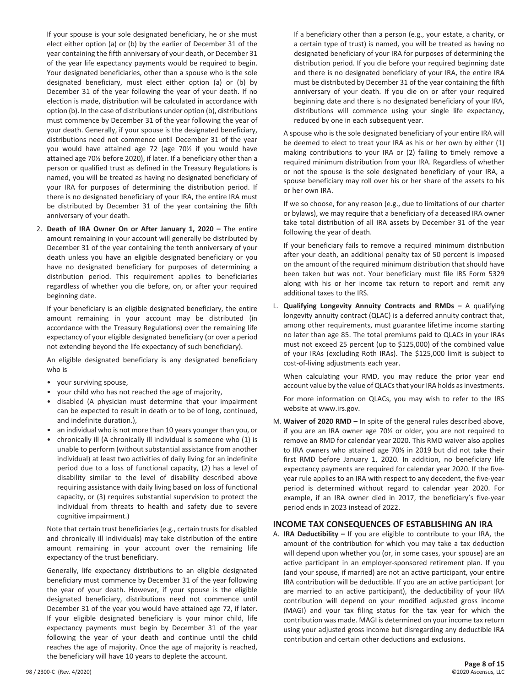If your spouse is your sole designated beneficiary, he or she must elect either option (a) or (b) by the earlier of December 31 of the year containing the fifth anniversary of your death, or December 31 of the year life expectancy payments would be required to begin. Your designated beneficiaries, other than a spouse who is the sole designated beneficiary, must elect either option (a) or (b) by December 31 of the year following the year of your death. If no election is made, distribution will be calculated in accordance with option (b). In the case of distributions under option (b), distributions must commence by December 31 of the year following the year of your death. Generally, if your spouse is the designated beneficiary, distributions need not commence until December 31 of the year you would have attained age 72 (age 70½ if you would have attained age 70½ before 2020), if later. If a beneficiary other than a person or qualified trust as defined in the Treasury Regulations is named, you will be treated as having no designated beneficiary of your IRA for purposes of determining the distribution period. If there is no designated beneficiary of your IRA, the entire IRA must be distributed by December 31 of the year containing the fifth anniversary of your death.

2. **Death of IRA Owner On or After January 1, 2020 –** The entire amount remaining in your account will generally be distributed by December 31 of the year containing the tenth anniversary of your death unless you have an eligible designated beneficiary or you have no designated beneficiary for purposes of determining a distribution period. This requirement applies to beneficiaries regardless of whether you die before, on, or after your required beginning date.

 If your beneficiary is an eligible designated beneficiary, the entire amount remaining in your account may be distributed (in accordance with the Treasury Regulations) over the remaining life expectancy of your eligible designated beneficiary (or over a period not extending beyond the life expectancy of such beneficiary).

 An eligible designated beneficiary is any designated beneficiary who is

- your surviving spouse,
- your child who has not reached the age of majority,
- disabled (A physician must determine that your impairment can be expected to result in death or to be of long, continued, and indefinite duration.),
- an individual who is not more than 10 years younger than you, or
- chronically ill (A chronically ill individual is someone who (1) is unable to perform (without substantial assistance from another individual) at least two activities of daily living for an indefinite period due to a loss of functional capacity, (2) has a level of disability similar to the level of disability described above requiring assistance with daily living based on loss of functional capacity, or (3) requires substantial supervision to protect the individual from threats to health and safety due to severe cognitive impairment.)

 Note that certain trust beneficiaries (e.g., certain trusts for disabled and chronically ill individuals) may take distribution of the entire amount remaining in your account over the remaining life expectancy of the trust beneficiary.

 Generally, life expectancy distributions to an eligible designated beneficiary must commence by December 31 of the year following the year of your death. However, if your spouse is the eligible designated beneficiary, distributions need not commence until December 31 of the year you would have attained age 72, if later. If your eligible designated beneficiary is your minor child, life expectancy payments must begin by December 31 of the year following the year of your death and continue until the child reaches the age of majority. Once the age of majority is reached, the beneficiary will have 10 years to deplete the account.

 If a beneficiary other than a person (e.g., your estate, a charity, or a certain type of trust) is named, you will be treated as having no designated beneficiary of your IRA for purposes of determining the distribution period. If you die before your required beginning date and there is no designated beneficiary of your IRA, the entire IRA must be distributed by December 31 of the year containing the fifth anniversary of your death. If you die on or after your required beginning date and there is no designated beneficiary of your IRA, distributions will commence using your single life expectancy, reduced by one in each subsequent year.

 A spouse who is the sole designated beneficiary of your entire IRA will be deemed to elect to treat your IRA as his or her own by either (1) making contributions to your IRA or (2) failing to timely remove a required minimum distribution from your IRA. Regardless of whether or not the spouse is the sole designated beneficiary of your IRA, a spouse beneficiary may roll over his or her share of the assets to his or her own IRA.

 If we so choose, for any reason (e.g., due to limitations of our charter or bylaws), we may require that a beneficiary of a deceased IRA owner take total distribution of all IRA assets by December 31 of the year following the year of death.

 If your beneficiary fails to remove a required minimum distribution after your death, an additional penalty tax of 50 percent is imposed on the amount of the required minimum distribution that should have been taken but was not. Your beneficiary must file IRS Form 5329 along with his or her income tax return to report and remit any additional taxes to the IRS.

L. **Qualifying Longevity Annuity Contracts and RMDs –** A qualifying longevity annuity contract (QLAC) is a deferred annuity contract that, among other requirements, must guarantee lifetime income starting no later than age 85. The total premiums paid to QLACs in your IRAs must not exceed 25 percent (up to \$125,000) of the combined value of your IRAs (excluding Roth IRAs). The \$125,000 limit is subject to cost-of-living adjustments each year.

 When calculating your RMD, you may reduce the prior year end account value by the value of QLACs that your IRA holds as investments.

 For more information on QLACs, you may wish to refer to the IRS website at www.irs.gov.

M. **Waiver of 2020 RMD –** In spite of the general rules described above, if you are an IRA owner age 70½ or older, you are not required to remove an RMD for calendar year 2020. This RMD waiver also applies to IRA owners who attained age 70½ in 2019 but did not take their first RMD before January 1, 2020. In addition, no beneficiary life expectancy payments are required for calendar year 2020. If the fiveyear rule applies to an IRA with respect to any decedent, the five-year period is determined without regard to calendar year 2020. For example, if an IRA owner died in 2017, the beneficiary's five-year period ends in 2023 instead of 2022.

### **INCOME TAX CONSEQUENCES OF ESTABLISHING AN IRA**

A. **IRA Deductibility –** If you are eligible to contribute to your IRA, the amount of the contribution for which you may take a tax deduction will depend upon whether you (or, in some cases, your spouse) are an active participant in an employer-sponsored retirement plan. If you (and your spouse, if married) are not an active participant, your entire IRA contribution will be deductible. If you are an active participant (or are married to an active participant), the deductibility of your IRA contribution will depend on your modified adjusted gross income (MAGI) and your tax filing status for the tax year for which the contribution was made. MAGI is determined on your income tax return using your adjusted gross income but disregarding any deductible IRA contribution and certain other deductions and exclusions.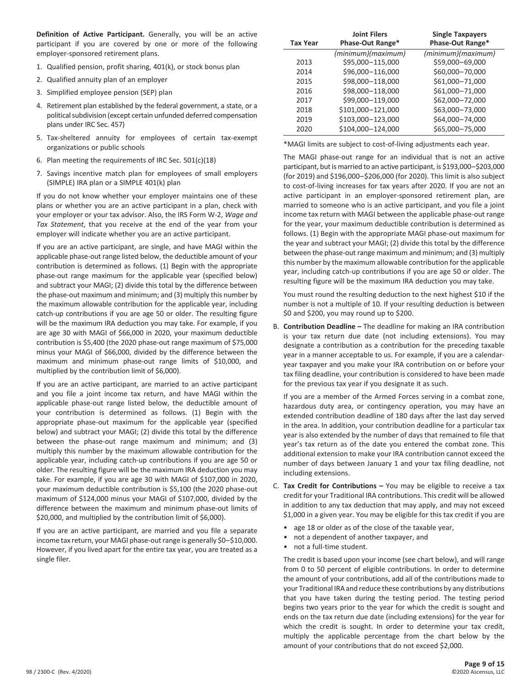**Definition of Active Participant.** Generally, you will be an active participant if you are covered by one or more of the following employer-sponsored retirement plans.

- 1. Qualified pension, profit sharing, 401(k), or stock bonus plan
- 2. Qualified annuity plan of an employer
- 3. Simplified employee pension (SEP) plan
- 4. Retirement plan established by the federal government, a state, or a political subdivision (except certain unfunded deferred compensation plans under IRC Sec. 457)
- 5. Tax-sheltered annuity for employees of certain tax-exempt organizations or public schools
- 6. Plan meeting the requirements of IRC Sec. 501(c)(18)
- 7. Savings incentive match plan for employees of small employers (SIMPLE) IRA plan or a SIMPLE 401(k) plan

 If you do not know whether your employer maintains one of these plans or whether you are an active participant in a plan, check with your employer or your tax advisor. Also, the IRS Form W-2, *Wage and Tax Statement*, that you receive at the end of the year from your employer will indicate whether you are an active participant.

 If you are an active participant, are single, and have MAGI within the applicable phase-out range listed below, the deductible amount of your contribution is determined as follows. (1) Begin with the appropriate phase-out range maximum for the applicable year (specified below) and subtract your MAGI; (2) divide this total by the difference between the phase-out maximum and minimum; and (3) multiply this number by the maximum allowable contribution for the applicable year, including catch-up contributions if you are age 50 or older. The resulting figure will be the maximum IRA deduction you may take. For example, if you are age 30 with MAGI of \$66,000 in 2020, your maximum deductible contribution is \$5,400 (the 2020 phase-out range maximum of \$75,000 minus your MAGI of \$66,000, divided by the difference between the maximum and minimum phase-out range limits of \$10,000, and multiplied by the contribution limit of \$6,000).

 If you are an active participant, are married to an active participant and you file a joint income tax return, and have MAGI within the applicable phase-out range listed below, the deductible amount of your contribution is determined as follows. (1) Begin with the appropriate phase-out maximum for the applicable year (specified below) and subtract your MAGI; (2) divide this total by the difference between the phase-out range maximum and minimum; and (3) multiply this number by the maximum allowable contribution for the applicable year, including catch-up contributions if you are age 50 or older. The resulting figure will be the maximum IRA deduction you may take. For example, if you are age 30 with MAGI of \$107,000 in 2020, your maximum deductible contribution is \$5,100 (the 2020 phase-out maximum of \$124,000 minus your MAGI of \$107,000, divided by the difference between the maximum and minimum phase-out limits of \$20,000, and multiplied by the contribution limit of \$6,000).

 If you are an active participant, are married and you file a separate income tax return, your MAGI phase-out range is generally \$0–\$10,000. However, if you lived apart for the entire tax year, you are treated as a single filer.

| <b>Tax Year</b> | <b>Joint Filers</b><br>Phase-Out Range* | <b>Single Taxpayers</b><br>Phase-Out Range* |
|-----------------|-----------------------------------------|---------------------------------------------|
|                 | (minimum)(maximum)                      | (minimum)(maximum)                          |
| 2013            | \$95,000-115,000                        | \$59,000-69,000                             |
| 2014            | \$96,000-116,000                        | \$60,000-70,000                             |
| 2015            | \$98,000-118,000                        | \$61,000-71,000                             |
| 2016            | \$98,000-118,000                        | \$61,000-71,000                             |
| 2017            | \$99,000-119,000                        | \$62,000-72,000                             |
| 2018            | \$101,000-121,000                       | \$63,000-73,000                             |
| 2019            | \$103,000-123,000                       | \$64,000-74,000                             |
| 2020            | \$104,000-124,000                       | \$65,000-75,000                             |

\*MAGI limits are subject to cost-of-living adjustments each year.

 The MAGI phase-out range for an individual that is not an active participant, but is married to an active participant, is \$193,000–\$203,000 (for 2019) and \$196,000–\$206,000 (for 2020). This limit is also subject to cost-of-living increases for tax years after 2020. If you are not an active participant in an employer-sponsored retirement plan, are married to someone who is an active participant, and you file a joint income tax return with MAGI between the applicable phase-out range for the year, your maximum deductible contribution is determined as follows. (1) Begin with the appropriate MAGI phase-out maximum for the year and subtract your MAGI; (2) divide this total by the difference between the phase-out range maximum and minimum; and (3) multiply this number by the maximum allowable contribution for the applicable year, including catch-up contributions if you are age 50 or older. The resulting figure will be the maximum IRA deduction you may take.

 You must round the resulting deduction to the next highest \$10 if the number is not a multiple of 10. If your resulting deduction is between \$0 and \$200, you may round up to \$200.

B. **Contribution Deadline –** The deadline for making an IRA contribution is your tax return due date (not including extensions). You may designate a contribution as a contribution for the preceding taxable year in a manner acceptable to us. For example, if you are a calendaryear taxpayer and you make your IRA contribution on or before your tax filing deadline, your contribution is considered to have been made for the previous tax year if you designate it as such.

 If you are a member of the Armed Forces serving in a combat zone, hazardous duty area, or contingency operation, you may have an extended contribution deadline of 180 days after the last day served in the area. In addition, your contribution deadline for a particular tax year is also extended by the number of days that remained to file that year's tax return as of the date you entered the combat zone. This additional extension to make your IRA contribution cannot exceed the number of days between January 1 and your tax filing deadline, not including extensions.

- C. **Tax Credit for Contributions –** You may be eligible to receive a tax credit for your Traditional IRA contributions. This credit will be allowed in addition to any tax deduction that may apply, and may not exceed \$1,000 in a given year. You may be eligible for this tax credit if you are
	- age 18 or older as of the close of the taxable year,
	- not a dependent of another taxpayer, and
	- not a full-time student.

 The credit is based upon your income (see chart below), and will range from 0 to 50 percent of eligible contributions. In order to determine the amount of your contributions, add all of the contributions made to your Traditional IRA and reduce these contributions by any distributions that you have taken during the testing period. The testing period begins two years prior to the year for which the credit is sought and ends on the tax return due date (including extensions) for the year for which the credit is sought. In order to determine your tax credit, multiply the applicable percentage from the chart below by the amount of your contributions that do not exceed \$2,000.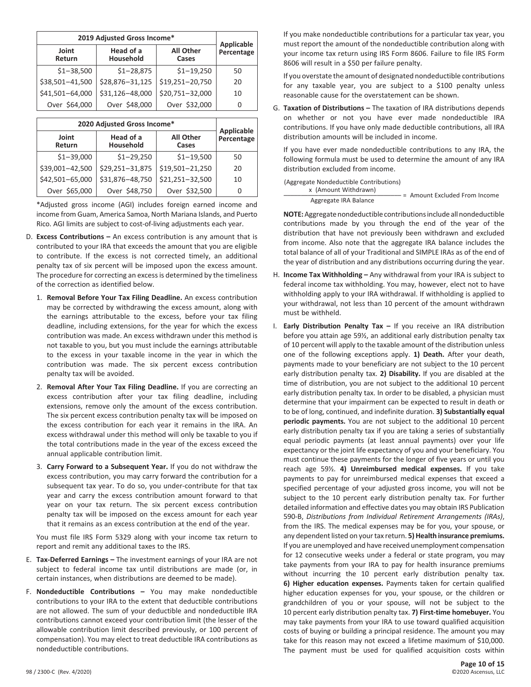| 2019 Adjusted Gross Income* |                        |                           |                                 |
|-----------------------------|------------------------|---------------------------|---------------------------------|
| Joint<br>Return             | Head of a<br>Household | <b>All Other</b><br>Cases | <b>Applicable</b><br>Percentage |
| $$1 - 38,500$               | $$1 - 28,875$          | $$1 - 19,250$             | 50                              |
| \$38,501-41,500             | \$28,876-31,125        | \$19,251-20,750           | 20                              |
| \$41,501-64,000             | \$31,126-48,000        | \$20,751-32,000           | 10                              |
| Over \$64,000               | Over \$48,000          | Over \$32,000             | O                               |

| 2020 Adjusted Gross Income* |                        |                           |                                 |
|-----------------------------|------------------------|---------------------------|---------------------------------|
| Joint<br>Return             | Head of a<br>Household | <b>All Other</b><br>Cases | <b>Applicable</b><br>Percentage |
| $$1-39,000$                 | $$1 - 29,250$          | $$1 - 19,500$             | 50                              |
| \$39,001-42,500             | \$29,251-31,875        | \$19,501-21,250           | 20                              |
| \$42,501-65,000             | \$31,876-48,750        | \$21,251-32,500           | 10                              |
| Over \$65,000               | Over \$48,750          | Over \$32,500             | O                               |

\*Adjusted gross income (AGI) includes foreign earned income and income from Guam, America Samoa, North Mariana Islands, and Puerto Rico. AGI limits are subject to cost-of-living adjustments each year.

- D. **Excess Contributions –** An excess contribution is any amount that is contributed to your IRA that exceeds the amount that you are eligible to contribute. If the excess is not corrected timely, an additional penalty tax of six percent will be imposed upon the excess amount. The procedure for correcting an excess is determined by the timeliness of the correction as identified below.
	- 1. **Removal Before Your Tax Filing Deadline.** An excess contribution may be corrected by withdrawing the excess amount, along with the earnings attributable to the excess, before your tax filing deadline, including extensions, for the year for which the excess contribution was made. An excess withdrawn under this method is not taxable to you, but you must include the earnings attributable to the excess in your taxable income in the year in which the contribution was made. The six percent excess contribution penalty tax will be avoided.
	- 2. **Removal After Your Tax Filing Deadline.** If you are correcting an excess contribution after your tax filing deadline, including extensions, remove only the amount of the excess contribution. The six percent excess contribution penalty tax will be imposed on the excess contribution for each year it remains in the IRA. An excess withdrawal under this method will only be taxable to you if the total contributions made in the year of the excess exceed the annual applicable contribution limit.
	- 3. **Carry Forward to a Subsequent Year.** If you do not withdraw the excess contribution, you may carry forward the contribution for a subsequent tax year. To do so, you under-contribute for that tax year and carry the excess contribution amount forward to that year on your tax return. The six percent excess contribution penalty tax will be imposed on the excess amount for each year that it remains as an excess contribution at the end of the year.

 You must file IRS Form 5329 along with your income tax return to report and remit any additional taxes to the IRS.

- E. **Tax-Deferred Earnings –** The investment earnings of your IRA are not subject to federal income tax until distributions are made (or, in certain instances, when distributions are deemed to be made).
- F. **Nondeductible Contributions –** You may make nondeductible contributions to your IRA to the extent that deductible contributions are not allowed. The sum of your deductible and nondeductible IRA contributions cannot exceed your contribution limit (the lesser of the allowable contribution limit described previously, or 100 percent of compensation). You may elect to treat deductible IRA contributions as nondeductible contributions.

 If you make nondeductible contributions for a particular tax year, you must report the amount of the nondeductible contribution along with your income tax return using IRS Form 8606. Failure to file IRS Form 8606 will result in a \$50 per failure penalty.

 If you overstate the amount of designated nondeductible contributions for any taxable year, you are subject to a \$100 penalty unless reasonable cause for the overstatement can be shown.

G. **Taxation of Distributions –** The taxation of IRA distributions depends on whether or not you have ever made nondeductible IRA contributions. If you have only made deductible contributions, all IRA distribution amounts will be included in income.

 If you have ever made nondeductible contributions to any IRA, the following formula must be used to determine the amount of any IRA distribution excluded from income.

| (Aggregate Nondeductible Contributions) |                               |
|-----------------------------------------|-------------------------------|
| x (Amount Withdrawn)                    | = Amount Excluded From Income |
| Aggregate IRA Balance                   |                               |

**NOTE:** Aggregate nondeductible contributions include all nondeductible contributions made by you through the end of the year of the distribution that have not previously been withdrawn and excluded from income. Also note that the aggregate IRA balance includes the total balance of all of your Traditional and SIMPLE IRAs as of the end of the year of distribution and any distributions occurring during the year.

- H. **Income Tax Withholding –** Any withdrawal from your IRA is subject to federal income tax withholding. You may, however, elect not to have withholding apply to your IRA withdrawal. If withholding is applied to your withdrawal, not less than 10 percent of the amount withdrawn must be withheld.
- I. **Early Distribution Penalty Tax –** If you receive an IRA distribution before you attain age 59½, an additional early distribution penalty tax of 10 percent will apply to the taxable amount of the distribution unless one of the following exceptions apply. **1) Death.** After your death, payments made to your beneficiary are not subject to the 10 percent early distribution penalty tax. **2) Disability.** If you are disabled at the time of distribution, you are not subject to the additional 10 percent early distribution penalty tax. In order to be disabled, a physician must determine that your impairment can be expected to result in death or to be of long, continued, and indefinite duration. **3) Substantially equal periodic payments.** You are not subject to the additional 10 percent early distribution penalty tax if you are taking a series of substantially equal periodic payments (at least annual payments) over your life expectancy or the joint life expectancy of you and your beneficiary. You must continue these payments for the longer of five years or until you reach age 59½. **4) Unreimbursed medical expenses.** If you take payments to pay for unreimbursed medical expenses that exceed a specified percentage of your adjusted gross income, you will not be subject to the 10 percent early distribution penalty tax. For further detailed information and effective dates you may obtain IRS Publication 590-B, *Distributions from Individual Retirement Arrangements (IRAs)*, from the IRS. The medical expenses may be for you, your spouse, or any dependent listed on your tax return. **5) Health insurance premiums.** If you are unemployed and have received unemployment compensation for 12 consecutive weeks under a federal or state program, you may take payments from your IRA to pay for health insurance premiums without incurring the 10 percent early distribution penalty tax. **6) Higher education expenses.** Payments taken for certain qualified higher education expenses for you, your spouse, or the children or grandchildren of you or your spouse, will not be subject to the 10 percent early distribution penalty tax. **7) First-time homebuyer.** You may take payments from your IRA to use toward qualified acquisition costs of buying or building a principal residence. The amount you may take for this reason may not exceed a lifetime maximum of \$10,000. The payment must be used for qualified acquisition costs within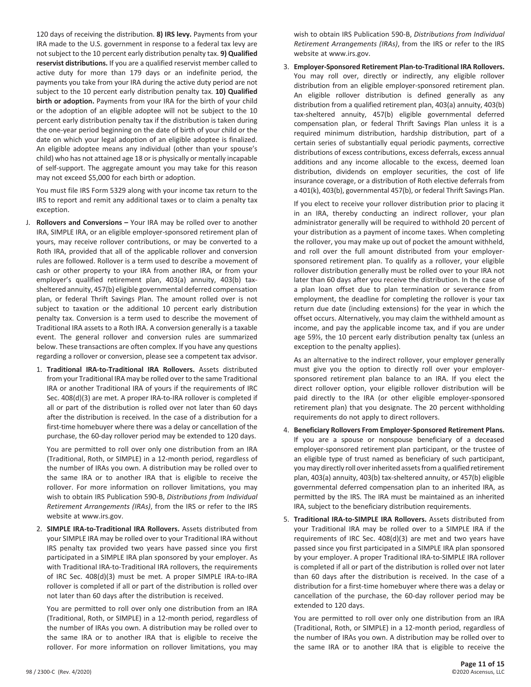120 days of receiving the distribution. **8) IRS levy.** Payments from your IRA made to the U.S. government in response to a federal tax levy are not subject to the 10 percent early distribution penalty tax. **9) Qualified reservist distributions.** If you are a qualified reservist member called to active duty for more than 179 days or an indefinite period, the payments you take from your IRA during the active duty period are not subject to the 10 percent early distribution penalty tax. **10) Qualified birth or adoption.** Payments from your IRA for the birth of your child or the adoption of an eligible adoptee will not be subject to the 10 percent early distribution penalty tax if the distribution is taken during the one-year period beginning on the date of birth of your child or the date on which your legal adoption of an eligible adoptee is finalized. An eligible adoptee means any individual (other than your spouse's child) who has not attained age 18 or is physically or mentally incapable of self-support. The aggregate amount you may take for this reason may not exceed \$5,000 for each birth or adoption.

 You must file IRS Form 5329 along with your income tax return to the IRS to report and remit any additional taxes or to claim a penalty tax exception.

- J. **Rollovers and Conversions –** Your IRA may be rolled over to another IRA, SIMPLE IRA, or an eligible employer-sponsored retirement plan of yours, may receive rollover contributions, or may be converted to a Roth IRA, provided that all of the applicable rollover and conversion rules are followed. Rollover is a term used to describe a movement of cash or other property to your IRA from another IRA, or from your employer's qualified retirement plan, 403(a) annuity, 403(b) taxsheltered annuity, 457(b) eligible governmental deferred compensation plan, or federal Thrift Savings Plan. The amount rolled over is not subject to taxation or the additional 10 percent early distribution penalty tax. Conversion is a term used to describe the movement of Traditional IRA assets to a Roth IRA. A conversion generally is a taxable event. The general rollover and conversion rules are summarized below. These transactions are often complex. If you have any questions regarding a rollover or conversion, please see a competent tax advisor.
	- 1. **Traditional IRA-to-Traditional IRA Rollovers.** Assets distributed from your Traditional IRA may be rolled over to the same Traditional IRA or another Traditional IRA of yours if the requirements of IRC Sec. 408(d)(3) are met. A proper IRA-to-IRA rollover is completed if all or part of the distribution is rolled over not later than 60 days after the distribution is received. In the case of a distribution for a first-time homebuyer where there was a delay or cancellation of the purchase, the 60-day rollover period may be extended to 120 days.

 You are permitted to roll over only one distribution from an IRA (Traditional, Roth, or SIMPLE) in a 12-month period, regardless of the number of IRAs you own. A distribution may be rolled over to the same IRA or to another IRA that is eligible to receive the rollover. For more information on rollover limitations, you may wish to obtain IRS Publication 590-B, *Distributions from Individual Retirement Arrangements (IRAs)*, from the IRS or refer to the IRS website at www.irs.gov.

2. **SIMPLE IRA-to-Traditional IRA Rollovers.** Assets distributed from your SIMPLE IRA may be rolled over to your Traditional IRA without IRS penalty tax provided two years have passed since you first participated in a SIMPLE IRA plan sponsored by your employer. As with Traditional IRA-to-Traditional IRA rollovers, the requirements of IRC Sec. 408(d)(3) must be met. A proper SIMPLE IRA-to-IRA rollover is completed if all or part of the distribution is rolled over not later than 60 days after the distribution is received.

 You are permitted to roll over only one distribution from an IRA (Traditional, Roth, or SIMPLE) in a 12-month period, regardless of the number of IRAs you own. A distribution may be rolled over to the same IRA or to another IRA that is eligible to receive the rollover. For more information on rollover limitations, you may wish to obtain IRS Publication 590-B, *Distributions from Individual Retirement Arrangements (IRAs)*, from the IRS or refer to the IRS website at www.irs.gov.

3. **Employer-Sponsored Retirement Plan-to-Traditional IRA Rollovers.** You may roll over, directly or indirectly, any eligible rollover distribution from an eligible employer-sponsored retirement plan. An eligible rollover distribution is defined generally as any distribution from a qualified retirement plan, 403(a) annuity, 403(b) tax-sheltered annuity, 457(b) eligible governmental deferred compensation plan, or federal Thrift Savings Plan unless it is a required minimum distribution, hardship distribution, part of a certain series of substantially equal periodic payments, corrective distributions of excess contributions, excess deferrals, excess annual additions and any income allocable to the excess, deemed loan distribution, dividends on employer securities, the cost of life insurance coverage, or a distribution of Roth elective deferrals from a 401(k), 403(b), governmental 457(b), or federal Thrift Savings Plan.

 If you elect to receive your rollover distribution prior to placing it in an IRA, thereby conducting an indirect rollover, your plan administrator generally will be required to withhold 20 percent of your distribution as a payment of income taxes. When completing the rollover, you may make up out of pocket the amount withheld, and roll over the full amount distributed from your employersponsored retirement plan. To qualify as a rollover, your eligible rollover distribution generally must be rolled over to your IRA not later than 60 days after you receive the distribution. In the case of a plan loan offset due to plan termination or severance from employment, the deadline for completing the rollover is your tax return due date (including extensions) for the year in which the offset occurs. Alternatively, you may claim the withheld amount as income, and pay the applicable income tax, and if you are under age 59½, the 10 percent early distribution penalty tax (unless an exception to the penalty applies).

 As an alternative to the indirect rollover, your employer generally must give you the option to directly roll over your employersponsored retirement plan balance to an IRA. If you elect the direct rollover option, your eligible rollover distribution will be paid directly to the IRA (or other eligible employer-sponsored retirement plan) that you designate. The 20 percent withholding requirements do not apply to direct rollovers.

- 4. **Beneficiary Rollovers From Employer-Sponsored Retirement Plans.** If you are a spouse or nonspouse beneficiary of a deceased employer-sponsored retirement plan participant, or the trustee of an eligible type of trust named as beneficiary of such participant, you may directly roll over inherited assets from a qualified retirement plan, 403(a) annuity, 403(b) tax-sheltered annuity, or 457(b) eligible governmental deferred compensation plan to an inherited IRA, as permitted by the IRS. The IRA must be maintained as an inherited IRA, subject to the beneficiary distribution requirements.
- 5. **Traditional IRA-to-SIMPLE IRA Rollovers.** Assets distributed from your Traditional IRA may be rolled over to a SIMPLE IRA if the requirements of IRC Sec. 408(d)(3) are met and two years have passed since you first participated in a SIMPLE IRA plan sponsored by your employer. A proper Traditional IRA-to-SIMPLE IRA rollover is completed if all or part of the distribution is rolled over not later than 60 days after the distribution is received. In the case of a distribution for a first-time homebuyer where there was a delay or cancellation of the purchase, the 60-day rollover period may be extended to 120 days.

 You are permitted to roll over only one distribution from an IRA (Traditional, Roth, or SIMPLE) in a 12-month period, regardless of the number of IRAs you own. A distribution may be rolled over to the same IRA or to another IRA that is eligible to receive the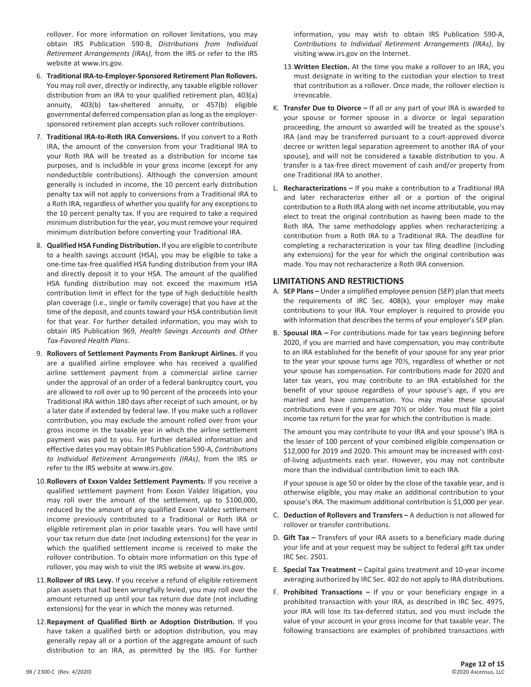rollover. For more information on rollover limitations, you may obtain IRS Publication 590-B, *Distributions from Individual Retirement Arrangements (IRAs)*, from the IRS or refer to the IRS website at www.irs.gov.

- 6. **Traditional IRA-to-Employer-Sponsored Retirement Plan Rollovers.** You may roll over, directly or indirectly, any taxable eligible rollover distribution from an IRA to your qualified retirement plan, 403(a) annuity, 403(b) tax-sheltered annuity, or 457(b) eligible governmental deferred compensation plan as long as the employersponsored retirement plan accepts such rollover contributions.
- 7. **Traditional IRA-to-Roth IRA Conversions.** If you convert to a Roth IRA, the amount of the conversion from your Traditional IRA to your Roth IRA will be treated as a distribution for income tax purposes, and is includible in your gross income (except for any nondeductible contributions). Although the conversion amount generally is included in income, the 10 percent early distribution penalty tax will not apply to conversions from a Traditional IRA to a Roth IRA, regardless of whether you qualify for any exceptions to the 10 percent penalty tax. If you are required to take a required minimum distribution for the year, you must remove your required minimum distribution before converting your Traditional IRA.
- 8. **Qualified HSA Funding Distribution.** If you are eligible to contribute to a health savings account (HSA), you may be eligible to take a one-time tax-free qualified HSA funding distribution from your IRA and directly deposit it to your HSA. The amount of the qualified HSA funding distribution may not exceed the maximum HSA contribution limit in effect for the type of high deductible health plan coverage (i.e., single or family coverage) that you have at the time of the deposit, and counts toward your HSA contribution limit for that year. For further detailed information, you may wish to obtain IRS Publication 969, *Health Savings Accounts and Other Tax-Favored Health Plans*.
- 9. **Rollovers of Settlement Payments From Bankrupt Airlines.** If you are a qualified airline employee who has received a qualified airline settlement payment from a commercial airline carrier under the approval of an order of a federal bankruptcy court, you are allowed to roll over up to 90 percent of the proceeds into your Traditional IRA within 180 days after receipt of such amount, or by a later date if extended by federal law. If you make such a rollover contribution, you may exclude the amount rolled over from your gross income in the taxable year in which the airline settlement payment was paid to you. For further detailed information and effective dates you may obtain IRS Publication 590-A, *Contributions to Individual Retirement Arrangements (IRAs)*, from the IRS or refer to the IRS website at www.irs.gov.
- 10. **Rollovers of Exxon Valdez Settlement Payments.** If you receive a qualified settlement payment from Exxon Valdez litigation, you may roll over the amount of the settlement, up to \$100,000, reduced by the amount of any qualified Exxon Valdez settlement income previously contributed to a Traditional or Roth IRA or eligible retirement plan in prior taxable years. You will have until your tax return due date (not including extensions) for the year in which the qualified settlement income is received to make the rollover contribution. To obtain more information on this type of rollover, you may wish to visit the IRS website at www.irs.gov.
- 11. **Rollover of IRS Levy.** If you receive a refund of eligible retirement plan assets that had been wrongfully levied, you may roll over the amount returned up until your tax return due date (not including extensions) for the year in which the money was returned.
- 12. **Repayment of Qualified Birth or Adoption Distribution.** If you have taken a qualified birth or adoption distribution, you may generally repay all or a portion of the aggregate amount of such distribution to an IRA, as permitted by the IRS. For further

information, you may wish to obtain IRS Publication 590-A, C*ontributions to Individual Retirement Arrangements (IRAs)*, by visiting www.irs.gov on the Internet.

- 13. **Written Election.** At the time you make a rollover to an IRA, you must designate in writing to the custodian your election to treat that contribution as a rollover. Once made, the rollover election is irrevocable.
- K. **Transfer Due to Divorce –** If all or any part of your IRA is awarded to your spouse or former spouse in a divorce or legal separation proceeding, the amount so awarded will be treated as the spouse's IRA (and may be transferred pursuant to a court-approved divorce decree or written legal separation agreement to another IRA of your spouse), and will not be considered a taxable distribution to you. A transfer is a tax-free direct movement of cash and/or property from one Traditional IRA to another.
- L. **Recharacterizations –** If you make a contribution to a Traditional IRA and later recharacterize either all or a portion of the original contribution to a Roth IRA along with net income attributable, you may elect to treat the original contribution as having been made to the Roth IRA. The same methodology applies when recharacterizing a contribution from a Roth IRA to a Traditional IRA. The deadline for completing a recharacterization is your tax filing deadline (including any extensions) for the year for which the original contribution was made. You may not recharacterize a Roth IRA conversion.

# **LIMITATIONS AND RESTRICTIONS**

- A. **SEP Plans –** Under a simplified employee pension (SEP) plan that meets the requirements of IRC Sec. 408(k), your employer may make contributions to your IRA. Your employer is required to provide you with information that describes the terms of your employer's SEP plan.
- B. **Spousal IRA –** For contributions made for tax years beginning before 2020, if you are married and have compensation, you may contribute to an IRA established for the benefit of your spouse for any year prior to the year your spouse turns age 70½, regardless of whether or not your spouse has compensation. For contributions made for 2020 and later tax years, you may contribute to an IRA established for the benefit of your spouse regardless of your spouse's age, if you are married and have compensation. You may make these spousal contributions even if you are age 70½ or older. You must file a joint income tax return for the year for which the contribution is made.

 The amount you may contribute to your IRA and your spouse's IRA is the lesser of 100 percent of your combined eligible compensation or \$12,000 for 2019 and 2020. This amount may be increased with costof-living adjustments each year. However, you may not contribute more than the individual contribution limit to each IRA.

 If your spouse is age 50 or older by the close of the taxable year, and is otherwise eligible, you may make an additional contribution to your spouse's IRA. The maximum additional contribution is \$1,000 per year.

- C. **Deduction of Rollovers and Transfers –** A deduction is not allowed for rollover or transfer contributions.
- D. **Gift Tax –** Transfers of your IRA assets to a beneficiary made during your life and at your request may be subject to federal gift tax under IRC Sec. 2501.
- E. **Special Tax Treatment –** Capital gains treatment and 10-year income averaging authorized by IRC Sec. 402 do not apply to IRA distributions.
- F. **Prohibited Transactions –** If you or your beneficiary engage in a prohibited transaction with your IRA, as described in IRC Sec. 4975, your IRA will lose its tax-deferred status, and you must include the value of your account in your gross income for that taxable year. The following transactions are examples of prohibited transactions with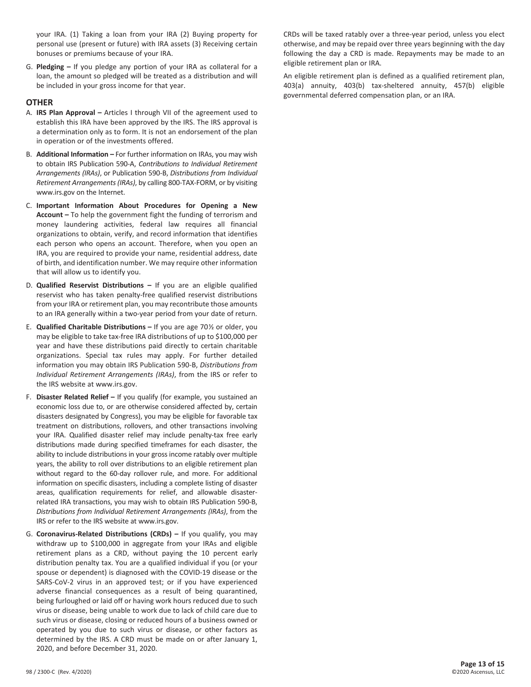your IRA. (1) Taking a loan from your IRA (2) Buying property for personal use (present or future) with IRA assets (3) Receiving certain bonuses or premiums because of your IRA.

G. **Pledging –** If you pledge any portion of your IRA as collateral for a loan, the amount so pledged will be treated as a distribution and will be included in your gross income for that year.

### **OTHER**

- A. **IRS Plan Approval –** Articles I through VII of the agreement used to establish this IRA have been approved by the IRS. The IRS approval is a determination only as to form. It is not an endorsement of the plan in operation or of the investments offered.
- B. **Additional Information –** For further information on IRAs, you may wish to obtain IRS Publication 590-A, *Contributions to Individual Retirement Arrangements (IRAs)*, or Publication 590-B, *Distributions from Individual Retirement Arrangements (IRAs)*, by calling 800-TAX-FORM, or by visiting www.irs.gov on the Internet.
- C. **Important Information About Procedures for Opening a New Account –** To help the government fight the funding of terrorism and money laundering activities, federal law requires all financial organizations to obtain, verify, and record information that identifies each person who opens an account. Therefore, when you open an IRA, you are required to provide your name, residential address, date of birth, and identification number. We may require other information that will allow us to identify you.
- D. **Qualified Reservist Distributions –** If you are an eligible qualified reservist who has taken penalty-free qualified reservist distributions from your IRA or retirement plan, you may recontribute those amounts to an IRA generally within a two-year period from your date of return.
- E. **Qualified Charitable Distributions –** If you are age 70½ or older, you may be eligible to take tax-free IRA distributions of up to \$100,000 per year and have these distributions paid directly to certain charitable organizations. Special tax rules may apply. For further detailed information you may obtain IRS Publication 590-B, *Distributions from Individual Retirement Arrangements (IRAs)*, from the IRS or refer to the IRS website at www.irs.gov.
- F. **Disaster Related Relief –** If you qualify (for example, you sustained an economic loss due to, or are otherwise considered affected by, certain disasters designated by Congress), you may be eligible for favorable tax treatment on distributions, rollovers, and other transactions involving your IRA. Qualified disaster relief may include penalty-tax free early distributions made during specified timeframes for each disaster, the ability to include distributions in your gross income ratably over multiple years, the ability to roll over distributions to an eligible retirement plan without regard to the 60-day rollover rule, and more. For additional information on specific disasters, including a complete listing of disaster areas, qualification requirements for relief, and allowable disasterrelated IRA transactions, you may wish to obtain IRS Publication 590-B, *Distributions from Individual Retirement Arrangements (IRAs)*, from the IRS or refer to the IRS website at www.irs.gov.
- G. **Coronavirus-Related Distributions (CRDs) –** If you qualify, you may withdraw up to \$100,000 in aggregate from your IRAs and eligible retirement plans as a CRD, without paying the 10 percent early distribution penalty tax. You are a qualified individual if you (or your spouse or dependent) is diagnosed with the COVID-19 disease or the SARS-CoV-2 virus in an approved test; or if you have experienced adverse financial consequences as a result of being quarantined, being furloughed or laid off or having work hours reduced due to such virus or disease, being unable to work due to lack of child care due to such virus or disease, closing or reduced hours of a business owned or operated by you due to such virus or disease, or other factors as determined by the IRS. A CRD must be made on or after January 1, 2020, and before December 31, 2020.

 CRDs will be taxed ratably over a three-year period, unless you elect otherwise, and may be repaid over three years beginning with the day following the day a CRD is made. Repayments may be made to an eligible retirement plan or IRA.

 An eligible retirement plan is defined as a qualified retirement plan, 403(a) annuity, 403(b) tax-sheltered annuity, 457(b) eligible governmental deferred compensation plan, or an IRA.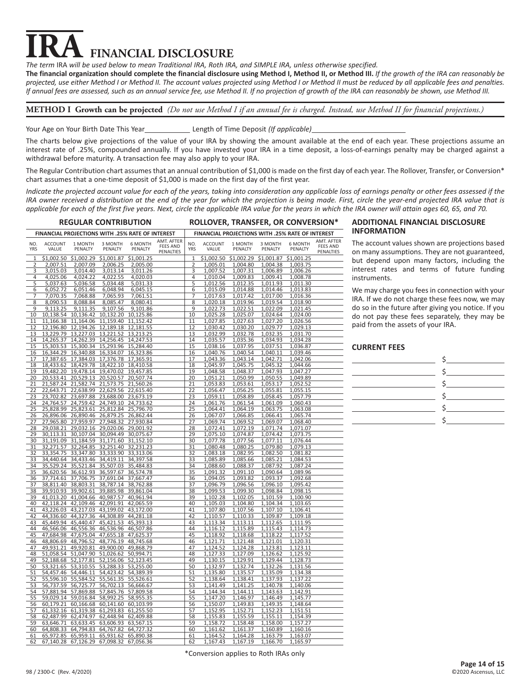# **FINANCIAL DISCLOSURE**

*The term* IRA *will be used below to mean Traditional IRA, Roth IRA, and SIMPLE IRA, unless otherwise specified.*

**The financial organization should complete the financial disclosure using Method I, Method II, or Method III.** *If the growth of the IRA can reasonably be projected, use either Method I or Method II. The account values projected using Method I or Method II must be reduced by all applicable fees and penalties. If annual fees are assessed, such as an annual service fee, use Method II. If no projection of growth of the IRA can reasonably be shown, use Method III.*

**METHOD I Growth can be projected** *(Do not use Method I if an annual fee is charged. Instead, use Method II for financial projections.)*

Your Age on Your Birth Date This Year Length of Time Deposit *(If applicable)* 

The charts below give projections of the value of your IRA by showing the amount available at the end of each year. These projections assume an interest rate of .25%, compounded annually. If you have invested your IRA in a time deposit, a loss-of-earnings penalty may be charged against a withdrawal before maturity. A transaction fee may also apply to your IRA.

The Regular Contribution chart assumes that an annual contribution of \$1,000 is made on the first day of each year. The Rollover, Transfer, or Conversion\* chart assumes that a one-time deposit of \$1,000 is made on the first day of the first year.

*Indicate the projected account value for each of the years, taking into consideration any applicable loss of earnings penalty or other fees assessed if the IRA owner received a distribution at the end of the year for which the projection is being made. First, circle the year-end projected IRA value that is applicable for each of the first five years. Next, circle the applicable IRA value for the years in which the IRA owner will attain ages 60, 65, and 70.*

#### **REGULAR CONTRIBUTION**

# **ROLLOVER, TRANSFER, OR CONVERSION\***

| FINANCIAL PROJECTIONS WITH .25% RATE OF INTEREST |                         |                                                                | FINANCIAL PROJECTIONS WITH .25% RATE OF INTEREST |                                            |                                            |                   |                         |                      |                      |                      |                                            |
|--------------------------------------------------|-------------------------|----------------------------------------------------------------|--------------------------------------------------|--------------------------------------------|--------------------------------------------|-------------------|-------------------------|----------------------|----------------------|----------------------|--------------------------------------------|
| NO.<br><b>YRS</b>                                | <b>ACCOUNT</b><br>VALUE | 1 MONTH<br>PENALTY                                             | 3 MONTH<br>PENALTY                               | 6 MONTH<br>PENALTY                         | AMT. AFTER<br><b>FEES AND</b><br>PENALTIES | NO.<br><b>YRS</b> | <b>ACCOUNT</b><br>VALUE | 1 MONTH<br>PENALTY   | 3 MONTH<br>PENALTY   | 6 MONTH<br>PENALTY   | AMT. AFTER<br><b>FEES AND</b><br>PENALTIES |
| $\overline{1}$                                   |                         | \$1,002.50 \$1,002.29                                          | \$1,001.87                                       | \$1,001.25                                 |                                            | $\mathbf{1}$      | \$1,002.50              | \$1,002.29           | \$1,001.87           | \$1,001.25           |                                            |
| 2                                                | 2,007.51                | 2,007.09                                                       | 2,006.25                                         | 2,005.00                                   |                                            | 2                 | 1,005.01                | 1,004.80             | 1,004.38             | 1,003.75             |                                            |
| 3                                                | 3,015.03                | 3,014.40                                                       | 3,013.14                                         | 3,011.26                                   |                                            | 3                 | 1,007.52                | 1,007.31             | 1,006.89             | 1,006.26             |                                            |
| 4<br>5                                           | 4,025.06                | 4,024.22                                                       | 4,022.55                                         | 4,020.03                                   |                                            | 4<br>5            | 1,010.04<br>1,012.56    | 1,009.83<br>1,012.35 | 1,009.41             | 1,008.78             |                                            |
| 6                                                | 5,037.63<br>6,052.72    | 5,036.58<br>6,051.46                                           | 5,034.48<br>6,048.94                             | 5,031.33<br>6,045.15                       |                                            | 6                 | 1,015.09                | 1,014.88             | 1,011.93<br>1,014.46 | 1,011.30<br>1,013.83 |                                            |
| 7                                                | 7,070.35                | 7,068.88                                                       | 7,065.93                                         | 7,061.51                                   |                                            | 7                 | 1,017.63                | 1,017.42             | 1,017.00             | 1,016.36             |                                            |
| 8                                                | 8,090.53                | 8,088.84                                                       | 8,085.47                                         | 8,080.41                                   |                                            | 8                 | 1,020.18                | 1,019.96             | 1,019.54             | 1,018.90             |                                            |
| 9                                                | 9,113.25                | 9,111.35                                                       | 9,107.56                                         | 9,101.86                                   |                                            | 9                 | 1,022.73                | 1,022.51             | 1,022.09             | 1,021.45             |                                            |
| 10                                               |                         | 10,138.54 10,136.42                                            |                                                  | 10,132.20 10,125.86                        |                                            | 10                | 1,025.28                | 1,025.07             | 1,024.64             | 1,024.00             |                                            |
| 11                                               | 11,166.38               | 11,164.06                                                      |                                                  | 11,159.40 11,152.42                        |                                            | 11                | 1,027.85                | 1,027.63             | 1,027.20             | 1,026.56             |                                            |
| 12                                               |                         | 12,196.80 12,194.26 12,189.18 12,181.55                        |                                                  |                                            |                                            | 12                | 1,030.42                | 1,030.20             | 1,029.77             | 1,029.13             |                                            |
| 13                                               |                         | 13,229.79 13,227.03 13,221.52 13,213.25                        |                                                  |                                            |                                            | 13                | 1,032.99                | 1,032.78             | 1,032.35             | 1,031.70             |                                            |
| 14                                               |                         | 14,265.37 14,262.39 14,256.45 14,247.53                        |                                                  |                                            |                                            | 14                | 1,035.57                | 1,035.36             | 1,034.93             | 1,034.28             |                                            |
| 15<br>16                                         |                         | 15,303.53 15,300.34 15,293.96 15,284.40                        |                                                  |                                            |                                            | 15<br>16          | 1,038.16<br>1,040.76    | 1,037.95<br>1,040.54 | 1,037.51<br>1,040.11 | 1,036.87<br>1,039.46 |                                            |
| 17                                               | 17,387.65               | 16,344.29 16,340.88 16,334.07 16,323.86<br>17,384.03           |                                                  | 17,376.78 17,365.91                        |                                            | 17                | 1,043.36                | 1,043.14             | 1,042.71             | 1,042.06             |                                            |
| 18                                               | 18,433.62               | 18,429.78                                                      |                                                  | 18,422.10 18,410.58                        |                                            | 18                | 1,045.97                | 1,045.75             | 1,045.32             | 1,044.66             |                                            |
| 19                                               | 19,482.20               | 19,478.14                                                      | 19,470.02                                        | 19,457.85                                  |                                            | 19                | 1,048.58                | 1,048.37             | 1,047.93             | 1,047.27             |                                            |
| 20                                               |                         | 20,533.41 20,529.13 20,520.57 20,507.74                        |                                                  |                                            |                                            | 20                | 1,051.21                | 1,050.99             | 1,050.55             | 1,049.89             |                                            |
| 21                                               |                         | 21,587.24 21,582.74 21,573.75 21,560.26                        |                                                  |                                            |                                            | 21                | 1,053.83                | 1,053.61             | 1,053.17             | 1,052.52             |                                            |
| 22                                               |                         | 22,643.71 22,638.99 22,629.56 22,615.40                        |                                                  |                                            |                                            | 22                | 1,056.47                | 1,056.25             | 1,055.81             | 1,055.15             |                                            |
| 23                                               | 23,702.82               |                                                                | 23,697.88 23,688.00 23,673.19                    |                                            |                                            | 23                | 1,059.11                | 1,058.89             | 1,058.45             | 1,057.79             |                                            |
| 24                                               |                         | 24,764.57 24,759.42 24,749.10 24,733.62                        |                                                  |                                            |                                            | 24                | 1,061.76                | 1,061.54             | 1,061.09             | 1,060.43             |                                            |
| 25                                               |                         | 25,828.99 25,823.61 25,812.84 25,796.70                        |                                                  |                                            |                                            | 25                | 1,064.41                | 1,064.19             | 1,063.75             | 1,063.08             |                                            |
| 26                                               |                         | 26,896.06 26,890.46 26,879.25 26,862.44                        |                                                  |                                            |                                            | 26                | 1,067.07                | 1,066.85             | 1,066.41             | 1,065.74             |                                            |
| 27<br>28                                         | 27,965.80               | 29,038.21 29,032.16 29,020.06 29,001.92                        | 27,959.97 27,948.32                              | 27,930.84                                  |                                            | 27<br>28          | 1,069.74<br>1,072.41    | 1,069.52<br>1,072.19 | 1,069.07<br>1,071.74 | 1,068.40<br>1,071.07 |                                            |
| 29                                               |                         | 30,113.31 30,107.04 30,094.49 30,075.67                        |                                                  |                                            |                                            | 29                | 1,075.10                | 1,074.87             | 1,074.42             | 1,073.75             |                                            |
| 30                                               |                         | 31,191.09 31,184.59 31,171.60 31,152.10                        |                                                  |                                            |                                            | 30                | 1,077.78                | 1,077.56             | 1,077.11             | 1,076.44             |                                            |
| 31                                               | 32,271.57               | 32,264.85                                                      |                                                  | 32,251.40 32,231.23                        |                                            | 31                | 1,080.48                | 1,080.25             | 1,079.80             | 1,079.13             |                                            |
| 32                                               |                         | 33,354.75 33,347.80 33,333.90 33,313.06                        |                                                  |                                            |                                            | 32                | 1,083.18                | 1,082.95             | 1,082.50             | 1,081.82             |                                            |
| 33                                               |                         | 34,440.64 34,433.46 34,419.11 34,397.58                        |                                                  |                                            |                                            | 33                | 1,085.89                | 1,085.66             | 1,085.21             | 1,084.53             |                                            |
| 34                                               |                         | 35,529.24 35,521.84                                            |                                                  | 35,507.03 35,484.83                        |                                            | 34                | 1,088.60                | 1,088.37             | 1,087.92             | 1,087.24             |                                            |
| 35                                               |                         | 36,620.56 36,612.93 36,597.67                                  |                                                  | 36,574.78                                  |                                            | 35                | 1,091.32                | 1,091.10             | 1,090.64             | 1,089.96             |                                            |
| 36<br>37                                         |                         | 37,714.61 37,706.75 37,691.04 37,667.47<br>38,811.40 38,803.31 |                                                  | 38,787.14 38,762.88                        |                                            | 36<br>37          | 1,094.05<br>1,096.79    | 1,093.82<br>1,096.56 | 1,093.37<br>1,096.10 | 1,092.68<br>1,095.42 |                                            |
| 38                                               |                         | 39,910.93 39,902.61                                            |                                                  | 39,885.98 39,861.04                        |                                            | 38                | 1,099.53                | 1,099.30             | 1,098.84             | 1,098.15             |                                            |
| 39                                               |                         | 41,013.20 41,004.66 40,987.57 40,961.94                        |                                                  |                                            |                                            | 39                | 1,102.28                | 1,102.05             | 1,101.59             | 1,100.90             |                                            |
| 40                                               |                         | 42,118.24 42,109.46 42,091.91 42,065.59                        |                                                  |                                            |                                            | 40                | 1,105.03                | 1,104.80             | 1,104.34             | 1,103.65             |                                            |
| 41                                               |                         | 43,226.03 43,217.03                                            |                                                  | 43.199.02 43.172.00                        |                                            | 41                | 1,107.80                | 1,107.56             | 1,107.10             | 1,106.41             |                                            |
| 42                                               | 44,336.60               | 44,327.36                                                      | 44,308.89                                        | 44,281.18                                  |                                            | 42                | 1,110.57                | 1,110.33             | 1,109.87             | 1,109.18             |                                            |
| 43                                               |                         | 45,449.94 45,440.47                                            |                                                  | 45,421.53 45,393.13                        |                                            | 43                | 1,113.34                | 1,113.11             | 1,112.65             | 1,111.95             |                                            |
| 44                                               |                         | 46,566.06 46,556.36                                            |                                                  | 46,536.96 46,507.86                        |                                            | 44                | 1,116.12                | 1,115.89             | 1,115.43             | 1,114.73             |                                            |
| 45<br>46                                         |                         | 47,684.98 47,675.04<br>48,806.69 48,796.52                     |                                                  | 47,655.18 47,625.37<br>48,776.19 48,745.68 |                                            | 45<br>46          | 1,118.92<br>1,121.71    | 1,118.68<br>1,121.48 | 1,118.22<br>1,121.01 | 1,117.52<br>1,120.31 |                                            |
| 47                                               |                         | 49,931.21 49,920.81                                            |                                                  | 49,900.00 49,868.79                        |                                            | 47                | 1,124.52                | 1,124.28             | 1,123.81             | 1,123.11             |                                            |
| 48                                               | 51,058.54               |                                                                | 51,047.90 51,026.62 50,994.71                    |                                            |                                            | 48                | 1,127.33                | 1,127.09             | 1,126.62             | 1,125.92             |                                            |
| 49                                               |                         | 52,188.68 52,177.81                                            |                                                  | 52,156.06 52,123.45                        |                                            | 49                | 1,130.15                | 1,129.91             | 1,129.44             | 1,128.73             |                                            |
| 50                                               | 53,321.65               | 53,310.55                                                      | 53,288.33                                        | 53,255.00                                  |                                            | 50                | 1,132.97                | 1,132.74             | 1,132.26             | 1,131.56             |                                            |
| 51                                               |                         | 54,457.46 54,446.11                                            |                                                  | 54,423.42 54,389.39                        |                                            | 51                | 1,135.80                | 1,135.57             | 1,135.09             | 1,134.38             |                                            |
| 52                                               |                         | 55,596.10 55,584.52                                            |                                                  | 55,561.35 55,526.61                        |                                            | 52                | 1,138.64                | 1,138.41             | 1,137.93             | 1,137.22             |                                            |
| 53                                               |                         | 56,737.59 56,725.77                                            |                                                  | 56,702.13 56,666.67                        |                                            | 53                | 1,141.49                | 1,141.25             | 1,140.78             | 1,140.06             |                                            |
| 54<br>55                                         |                         | 57,881.94 57,869.88<br>59,029.14 59,016.84                     |                                                  | 57,845.76 57,809.58<br>58,992.25 58,955.35 |                                            | 54<br>55          | 1,144.34<br>1,147.20    | 1,144.11<br>1,146.97 | 1,143.63<br>1,146.49 | 1,142.91<br>1,145.77 |                                            |
| 56                                               | 60,179.21               | 60,166.68                                                      |                                                  | 60,141.60 60,103.99                        |                                            | 56                | 1,150.07                | 1,149.83             | 1,149.35             | 1,148.64             |                                            |
| 57                                               |                         | 61,332.16 61,319.38                                            |                                                  | 61,293.83 61,255.50                        |                                            | 57                | 1,152.95                | 1,152.71             | 1,152.23             | 1,151.51             |                                            |
| 58                                               | 62,487.99               | 62,474.97                                                      |                                                  | 62,448.94 62,409.88                        |                                            | 58                | 1,155.83                | 1,155.59             | 1,155.11             | 1,154.39             |                                            |
| 59                                               |                         | 63,646.71 63,633.45 63,606.93 63,567.15                        |                                                  |                                            |                                            | 59                | 1,158.72                | 1,158.48             | 1,158.00             | 1,157.27             |                                            |
| 60                                               |                         | 64,808.33 64,794.83 64,767.82 64,727.32                        |                                                  |                                            |                                            | 60                | 1,161.62                | 1,161.37             | 1,160.89             | 1,160.16             |                                            |
| 61                                               |                         | 65,972.85 65,959.11 65,931.62 65,890.38                        |                                                  |                                            |                                            | 61                | 1,164.52                | 1,164.28             | 1,163.79             | 1,163.07             |                                            |
| 62                                               |                         | 67,140.28 67,126.29 67,098.32 67,056.36                        |                                                  |                                            |                                            | 62                | 1,167.43                | 1,167.19             | 1,166.70             | 1,165.97             |                                            |

### **ADDITIONAL FINANCIAL DISCLOSURE INFORMATION**

The account values shown are projections based on many assumptions. They are not guaranteed, but depend upon many factors, including the interest rates and terms of future funding instruments.

We may charge you fees in connection with your IRA. If we do not charge these fees now, we may do so in the future after giving you notice. If you do not pay these fees separately, they may be paid from the assets of your IRA.

# **CURRENT FEES**

|                                         | S                                                                                                                                                                                                                                                                                                |
|-----------------------------------------|--------------------------------------------------------------------------------------------------------------------------------------------------------------------------------------------------------------------------------------------------------------------------------------------------|
| <u> 1989 - Johann Barbara, martin a</u> |                                                                                                                                                                                                                                                                                                  |
|                                         | $\mathsf{S}$ and $\mathsf{S}$ and $\mathsf{S}$ and $\mathsf{S}$ and $\mathsf{S}$ are $\mathsf{S}$ and $\mathsf{S}$ and $\mathsf{S}$ are $\mathsf{S}$ and $\mathsf{S}$ are $\mathsf{S}$ and $\mathsf{S}$ are $\mathsf{S}$ and $\mathsf{S}$ are $\mathsf{S}$ and $\mathsf{S}$ are $\mathsf{S}$ and |
|                                         | $\mathsf{\dot{S}}$                                                                                                                                                                                                                                                                               |
|                                         |                                                                                                                                                                                                                                                                                                  |
|                                         |                                                                                                                                                                                                                                                                                                  |

\*Conversion applies to Roth IRAs only